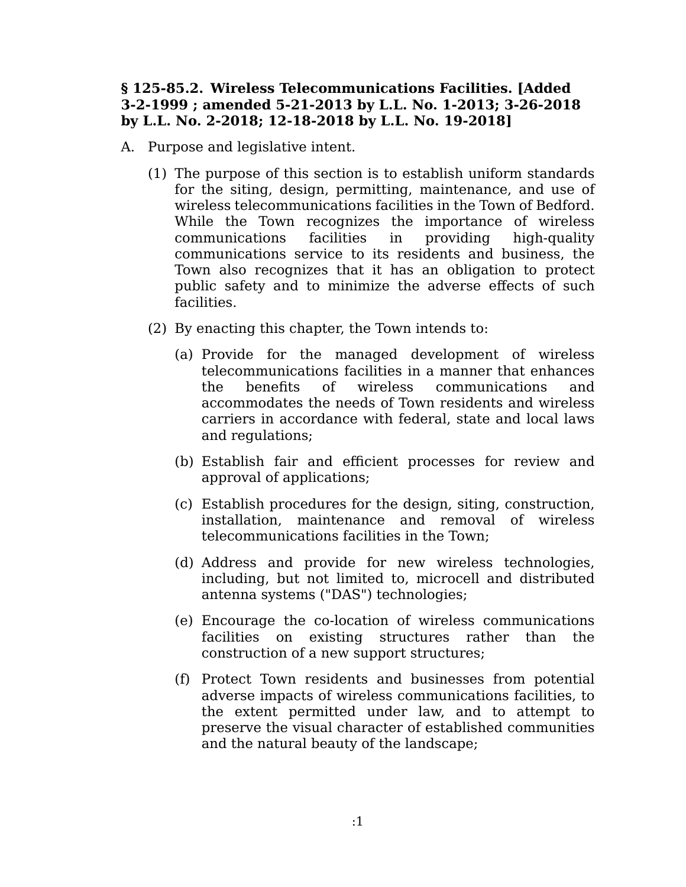## **§ 125-85.2. Wireless Telecommunications Facilities. [Added 3-2-1999 ; amended 5-21-2013 by L.L. No. 1-2013; 3-26-2018 by L.L. No. 2-2018; 12-18-2018 by L.L. No. 19-2018]**

- A. Purpose and legislative intent.
	- (1) The purpose of this section is to establish uniform standards for the siting, design, permitting, maintenance, and use of wireless telecommunications facilities in the Town of Bedford. While the Town recognizes the importance of wireless communications facilities in providing high-quality communications service to its residents and business, the Town also recognizes that it has an obligation to protect public safety and to minimize the adverse effects of such facilities.
	- (2) By enacting this chapter, the Town intends to:
		- (a) Provide for the managed development of wireless telecommunications facilities in a manner that enhances the benefits of wireless communications and accommodates the needs of Town residents and wireless carriers in accordance with federal, state and local laws and regulations;
		- (b) Establish fair and efficient processes for review and approval of applications;
		- (c) Establish procedures for the design, siting, construction, installation, maintenance and removal of wireless telecommunications facilities in the Town;
		- (d) Address and provide for new wireless technologies, including, but not limited to, microcell and distributed antenna systems ("DAS") technologies;
		- (e) Encourage the co-location of wireless communications facilities on existing structures rather than the construction of a new support structures;
		- (f) Protect Town residents and businesses from potential adverse impacts of wireless communications facilities, to the extent permitted under law, and to attempt to preserve the visual character of established communities and the natural beauty of the landscape;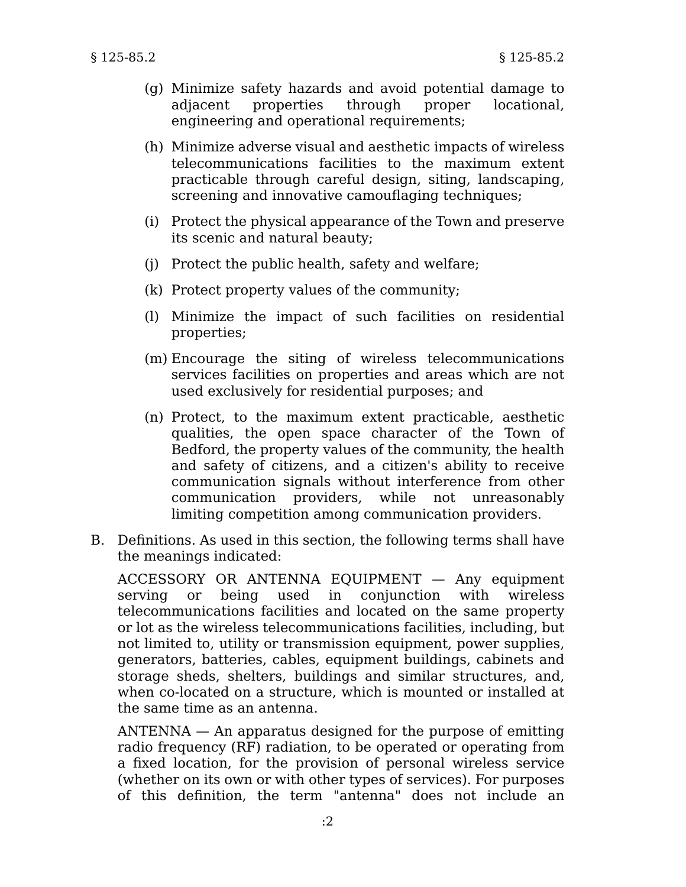- (g) Minimize safety hazards and avoid potential damage to adjacent properties through proper locational, engineering and operational requirements;
- (h) Minimize adverse visual and aesthetic impacts of wireless telecommunications facilities to the maximum extent practicable through careful design, siting, landscaping, screening and innovative camouflaging techniques;
- (i) Protect the physical appearance of the Town and preserve its scenic and natural beauty;
- (j) Protect the public health, safety and welfare;
- (k) Protect property values of the community;
- (l) Minimize the impact of such facilities on residential properties;
- (m) Encourage the siting of wireless telecommunications services facilities on properties and areas which are not used exclusively for residential purposes; and
- (n) Protect, to the maximum extent practicable, aesthetic qualities, the open space character of the Town of Bedford, the property values of the community, the health and safety of citizens, and a citizen's ability to receive communication signals without interference from other communication providers, while not unreasonably limiting competition among communication providers.
- B. Definitions. As used in this section, the following terms shall have the meanings indicated:

ACCESSORY OR ANTENNA EQUIPMENT — Any equipment serving or being used in conjunction with wireless telecommunications facilities and located on the same property or lot as the wireless telecommunications facilities, including, but not limited to, utility or transmission equipment, power supplies, generators, batteries, cables, equipment buildings, cabinets and storage sheds, shelters, buildings and similar structures, and, when co-located on a structure, which is mounted or installed at the same time as an antenna.

ANTENNA — An apparatus designed for the purpose of emitting radio frequency (RF) radiation, to be operated or operating from a fixed location, for the provision of personal wireless service (whether on its own or with other types of services). For purposes of this definition, the term "antenna" does not include an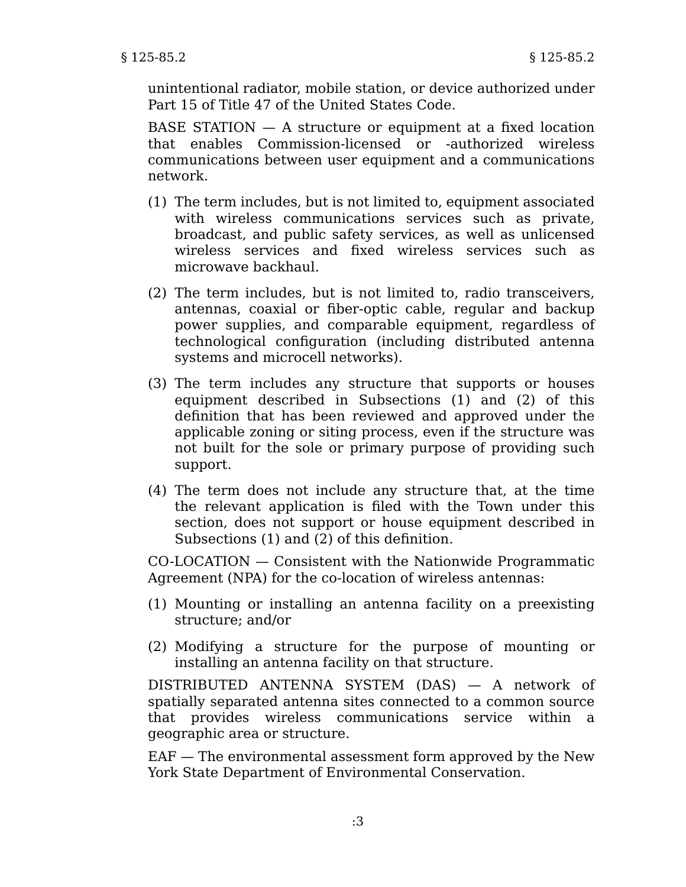unintentional radiator, mobile station, or device authorized under Part 15 of Title 47 of the United States Code.

BASE STATION — A structure or equipment at a fixed location that enables Commission-licensed or -authorized wireless communications between user equipment and a communications network.

- (1) The term includes, but is not limited to, equipment associated with wireless communications services such as private, broadcast, and public safety services, as well as unlicensed wireless services and fixed wireless services such as microwave backhaul.
- (2) The term includes, but is not limited to, radio transceivers, antennas, coaxial or fiber-optic cable, regular and backup power supplies, and comparable equipment, regardless of technological configuration (including distributed antenna systems and microcell networks).
- (3) The term includes any structure that supports or houses equipment described in Subsections (1) and (2) of this definition that has been reviewed and approved under the applicable zoning or siting process, even if the structure was not built for the sole or primary purpose of providing such support.
- (4) The term does not include any structure that, at the time the relevant application is filed with the Town under this section, does not support or house equipment described in Subsections (1) and (2) of this definition.

CO-LOCATION — Consistent with the Nationwide Programmatic Agreement (NPA) for the co-location of wireless antennas:

- (1) Mounting or installing an antenna facility on a preexisting structure; and/or
- (2) Modifying a structure for the purpose of mounting or installing an antenna facility on that structure.

DISTRIBUTED ANTENNA SYSTEM (DAS) — A network of spatially separated antenna sites connected to a common source that provides wireless communications service within a geographic area or structure.

EAF — The environmental assessment form approved by the New York State Department of Environmental Conservation.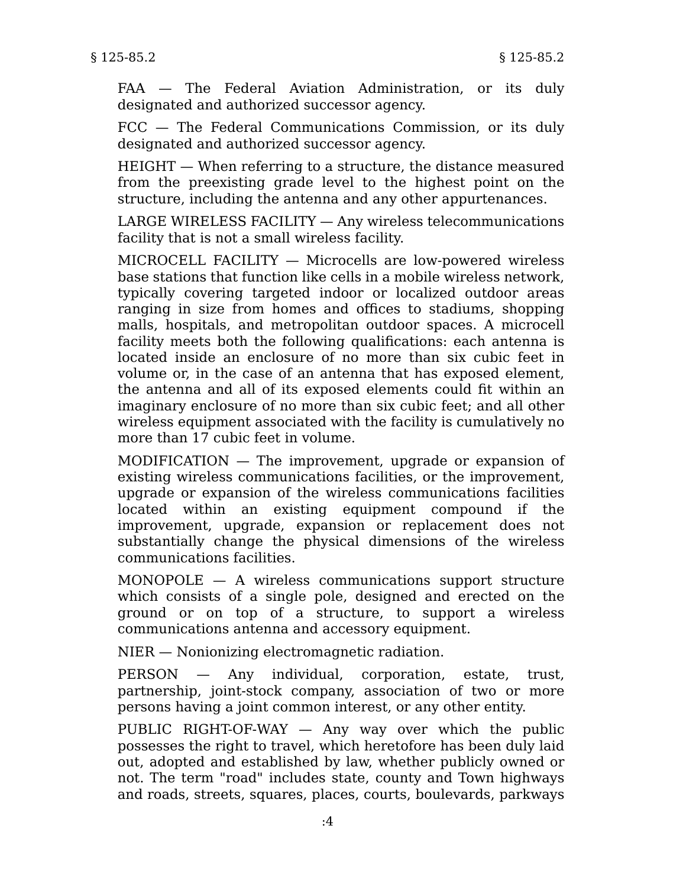FAA — The Federal Aviation Administration, or its duly designated and authorized successor agency.

FCC — The Federal Communications Commission, or its duly designated and authorized successor agency.

HEIGHT — When referring to a structure, the distance measured from the preexisting grade level to the highest point on the structure, including the antenna and any other appurtenances.

LARGE WIRELESS FACILITY — Any wireless telecommunications facility that is not a small wireless facility.

MICROCELL FACILITY — Microcells are low-powered wireless base stations that function like cells in a mobile wireless network, typically covering targeted indoor or localized outdoor areas ranging in size from homes and offices to stadiums, shopping malls, hospitals, and metropolitan outdoor spaces. A microcell facility meets both the following qualifications: each antenna is located inside an enclosure of no more than six cubic feet in volume or, in the case of an antenna that has exposed element, the antenna and all of its exposed elements could fit within an imaginary enclosure of no more than six cubic feet; and all other wireless equipment associated with the facility is cumulatively no more than 17 cubic feet in volume.

MODIFICATION — The improvement, upgrade or expansion of existing wireless communications facilities, or the improvement, upgrade or expansion of the wireless communications facilities located within an existing equipment compound if the improvement, upgrade, expansion or replacement does not substantially change the physical dimensions of the wireless communications facilities.

MONOPOLE — A wireless communications support structure which consists of a single pole, designed and erected on the ground or on top of a structure, to support a wireless communications antenna and accessory equipment.

NIER — Nonionizing electromagnetic radiation.

PERSON — Any individual, corporation, estate, trust, partnership, joint-stock company, association of two or more persons having a joint common interest, or any other entity.

PUBLIC RIGHT-OF-WAY — Any way over which the public possesses the right to travel, which heretofore has been duly laid out, adopted and established by law, whether publicly owned or not. The term "road" includes state, county and Town highways and roads, streets, squares, places, courts, boulevards, parkways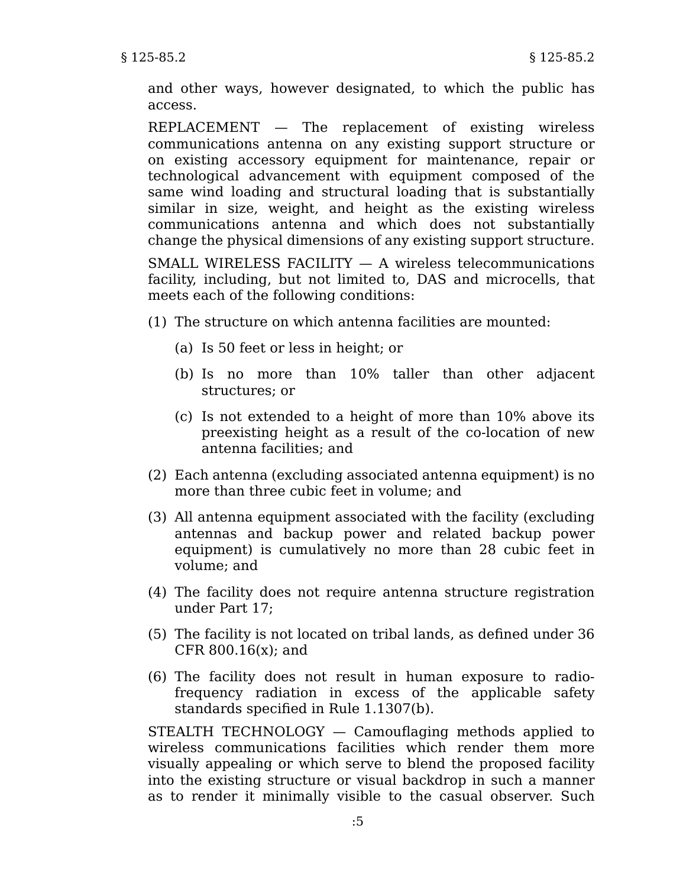and other ways, however designated, to which the public has access.

REPLACEMENT — The replacement of existing wireless communications antenna on any existing support structure or on existing accessory equipment for maintenance, repair or technological advancement with equipment composed of the same wind loading and structural loading that is substantially similar in size, weight, and height as the existing wireless communications antenna and which does not substantially change the physical dimensions of any existing support structure.

SMALL WIRELESS FACILITY — A wireless telecommunications facility, including, but not limited to, DAS and microcells, that meets each of the following conditions:

- (1) The structure on which antenna facilities are mounted:
	- (a) Is 50 feet or less in height; or
	- (b) Is no more than 10% taller than other adjacent structures; or
	- (c) Is not extended to a height of more than 10% above its preexisting height as a result of the co-location of new antenna facilities; and
- Each antenna (excluding associated antenna equipment) is no (2) more than three cubic feet in volume; and
- (3) All antenna equipment associated with the facility (excluding antennas and backup power and related backup power equipment) is cumulatively no more than 28 cubic feet in volume; and
- (4) The facility does not require antenna structure registration under Part 17;
- (5) The facility is not located on tribal lands, as defined under 36 CFR 800.16(x); and
- (6) The facility does not result in human exposure to radiofrequency radiation in excess of the applicable safety standards specified in Rule 1.1307(b).

STEALTH TECHNOLOGY — Camouflaging methods applied to wireless communications facilities which render them more visually appealing or which serve to blend the proposed facility into the existing structure or visual backdrop in such a manner as to render it minimally visible to the casual observer. Such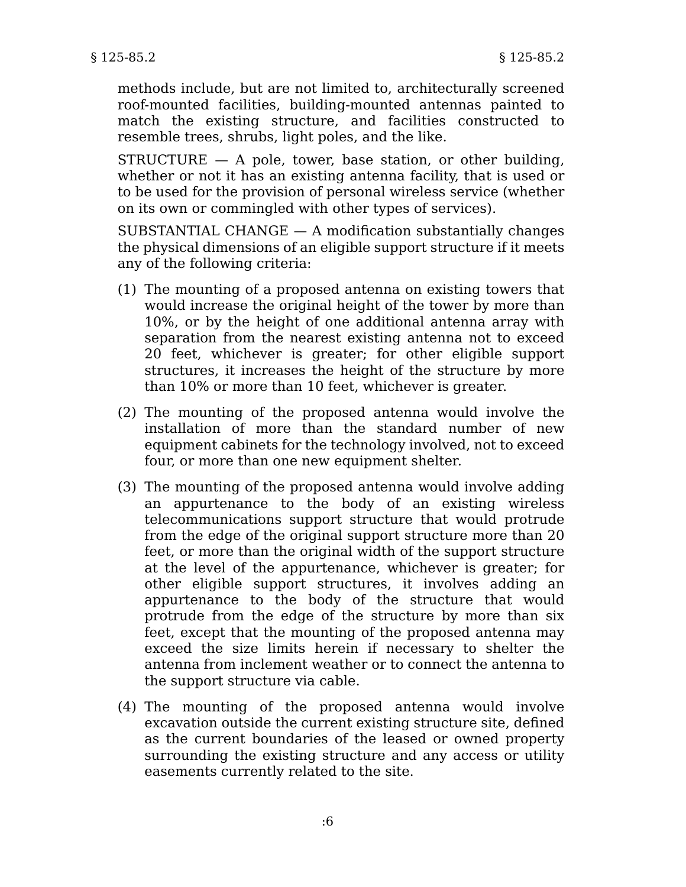methods include, but are not limited to, architecturally screened roof-mounted facilities, building-mounted antennas painted to match the existing structure, and facilities constructed to resemble trees, shrubs, light poles, and the like.

 $STRUCTURE - A pole$ , tower, base station, or other building, whether or not it has an existing antenna facility, that is used or to be used for the provision of personal wireless service (whether on its own or commingled with other types of services).

SUBSTANTIAL CHANGE  $-$  A modification substantially changes the physical dimensions of an eligible support structure if it meets any of the following criteria:

- (1) The mounting of a proposed antenna on existing towers that would increase the original height of the tower by more than 10%, or by the height of one additional antenna array with separation from the nearest existing antenna not to exceed 20 feet, whichever is greater; for other eligible support structures, it increases the height of the structure by more than 10% or more than 10 feet, whichever is greater.
- (2) The mounting of the proposed antenna would involve the installation of more than the standard number of new equipment cabinets for the technology involved, not to exceed four, or more than one new equipment shelter.
- (3) The mounting of the proposed antenna would involve adding an appurtenance to the body of an existing wireless telecommunications support structure that would protrude from the edge of the original support structure more than 20 feet, or more than the original width of the support structure at the level of the appurtenance, whichever is greater; for other eligible support structures, it involves adding an appurtenance to the body of the structure that would protrude from the edge of the structure by more than six feet, except that the mounting of the proposed antenna may exceed the size limits herein if necessary to shelter the antenna from inclement weather or to connect the antenna to the support structure via cable.
- (4) The mounting of the proposed antenna would involve excavation outside the current existing structure site, defined as the current boundaries of the leased or owned property surrounding the existing structure and any access or utility easements currently related to the site.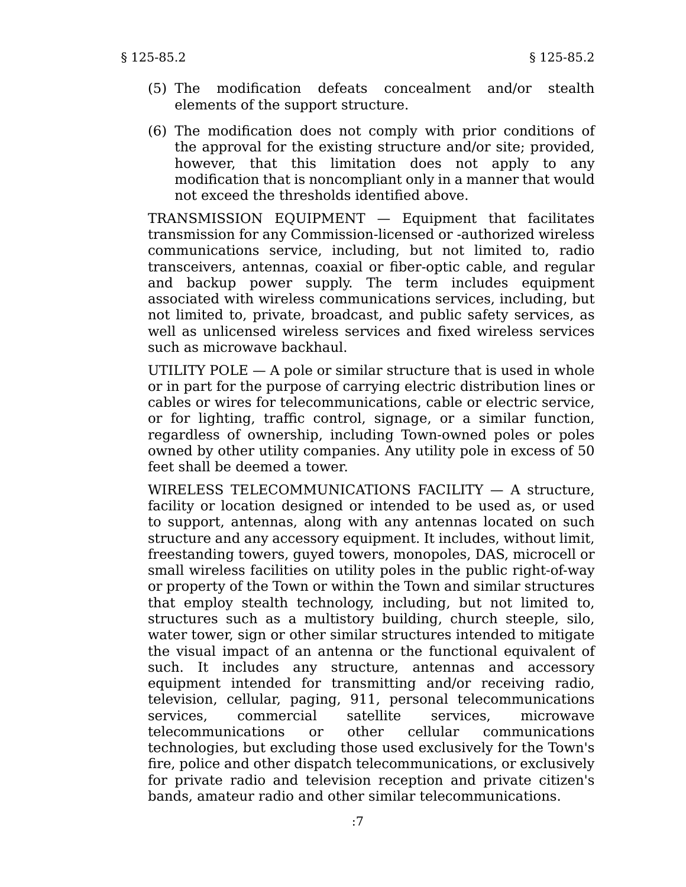- (5) The modification defeats concealment and/or stealth elements of the support structure.
- (6) The modification does not comply with prior conditions of the approval for the existing structure and/or site; provided, however, that this limitation does not apply to any modification that is noncompliant only in a manner that would not exceed the thresholds identified above.

TRANSMISSION EQUIPMENT — Equipment that facilitates transmission for any Commission-licensed or -authorized wireless communications service, including, but not limited to, radio transceivers, antennas, coaxial or fiber-optic cable, and regular and backup power supply. The term includes equipment associated with wireless communications services, including, but not limited to, private, broadcast, and public safety services, as well as unlicensed wireless services and fixed wireless services such as microwave backhaul.

UTILITY POLE  $-$  A pole or similar structure that is used in whole or in part for the purpose of carrying electric distribution lines or cables or wires for telecommunications, cable or electric service, or for lighting, traffic control, signage, or a similar function, regardless of ownership, including Town-owned poles or poles owned by other utility companies. Any utility pole in excess of 50 feet shall be deemed a tower.

WIRELESS TELECOMMUNICATIONS FACILITY — A structure, facility or location designed or intended to be used as, or used to support, antennas, along with any antennas located on such structure and any accessory equipment. It includes, without limit, freestanding towers, guyed towers, monopoles, DAS, microcell or small wireless facilities on utility poles in the public right-of-way or property of the Town or within the Town and similar structures that employ stealth technology, including, but not limited to, structures such as a multistory building, church steeple, silo, water tower, sign or other similar structures intended to mitigate the visual impact of an antenna or the functional equivalent of such. It includes any structure, antennas and accessory equipment intended for transmitting and/or receiving radio, television, cellular, paging, 911, personal telecommunications services, commercial satellite services, microwave telecommunications or other cellular communications technologies, but excluding those used exclusively for the Town's fire, police and other dispatch telecommunications, or exclusively for private radio and television reception and private citizen's bands, amateur radio and other similar telecommunications.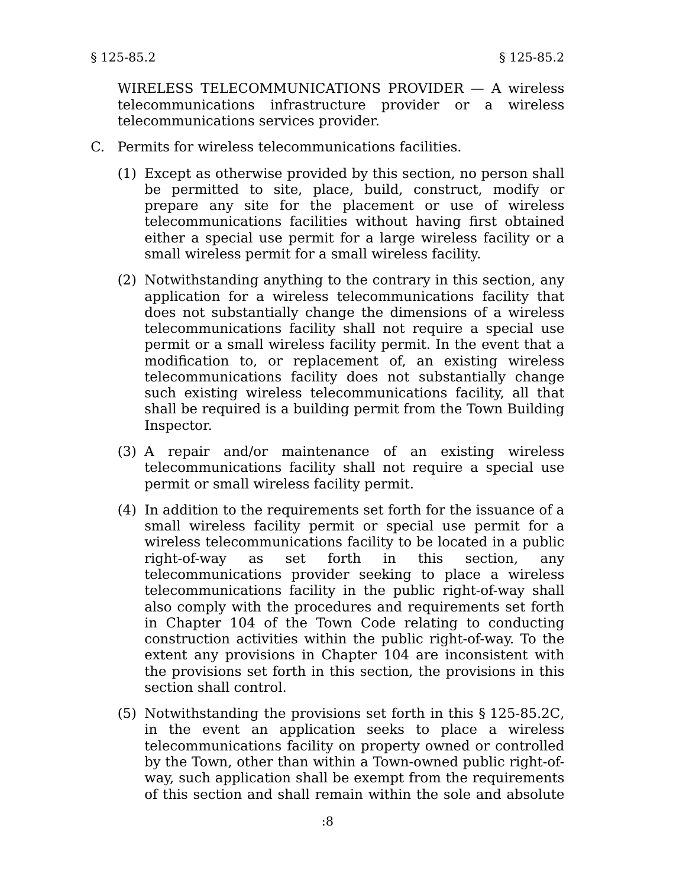WIRELESS TELECOMMUNICATIONS PROVIDER — A wireless telecommunications infrastructure provider or a wireless telecommunications services provider.

- C. Permits for wireless telecommunications facilities.
	- (1) Except as otherwise provided by this section, no person shall be permitted to site, place, build, construct, modify or prepare any site for the placement or use of wireless telecommunications facilities without having first obtained either a special use permit for a large wireless facility or a small wireless permit for a small wireless facility.
	- (2) Notwithstanding anything to the contrary in this section, any application for a wireless telecommunications facility that does not substantially change the dimensions of a wireless telecommunications facility shall not require a special use permit or a small wireless facility permit. In the event that a modification to, or replacement of, an existing wireless telecommunications facility does not substantially change such existing wireless telecommunications facility, all that shall be required is a building permit from the Town Building Inspector.
	- (3) A repair and/or maintenance of an existing wireless telecommunications facility shall not require a special use permit or small wireless facility permit.
	- (4) In addition to the requirements set forth for the issuance of a small wireless facility permit or special use permit for a wireless telecommunications facility to be located in a public right-of-way as set forth in this section. telecommunications provider seeking to place a wireless telecommunications facility in the public right-of-way shall also comply with the procedures and requirements set forth in Chapter 104 of the Town Code relating to conducting construction activities within the public right-of-way. To the extent any provisions in Chapter 104 are inconsistent with the provisions set forth in this section, the provisions in this section shall control.
	- (5) Notwithstanding the provisions set forth in this § 125-85.2C, in the event an application seeks to place a wireless telecommunications facility on property owned or controlled by the Town, other than within a Town-owned public right-ofway, such application shall be exempt from the requirements of this section and shall remain within the sole and absolute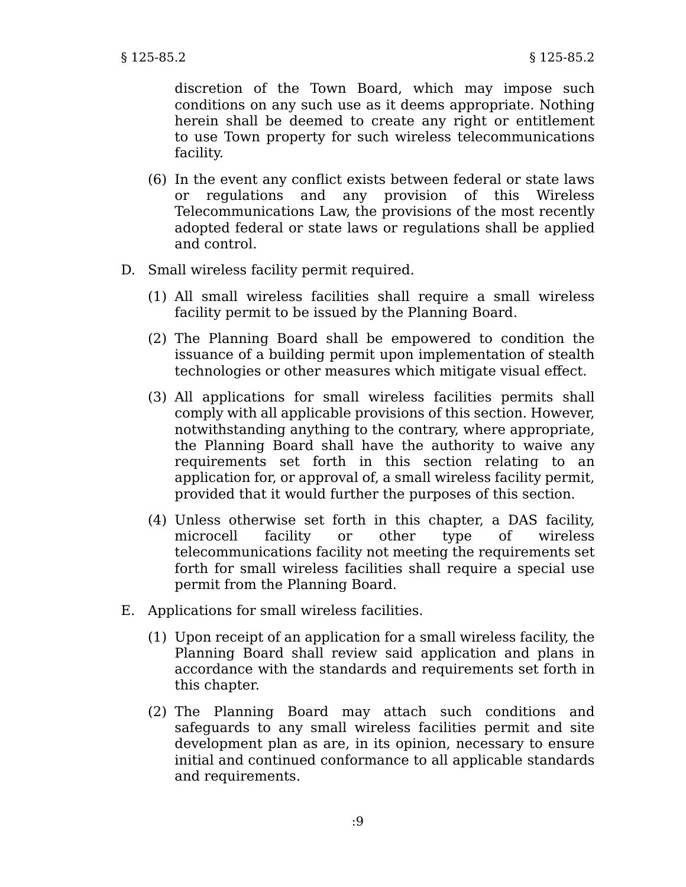discretion of the Town Board, which may impose such conditions on any such use as it deems appropriate. Nothing herein shall be deemed to create any right or entitlement to use Town property for such wireless telecommunications facility.

- (6) In the event any conflict exists between federal or state laws or regulations and any provision of this Wireless Telecommunications Law, the provisions of the most recently adopted federal or state laws or regulations shall be applied and control.
- D. Small wireless facility permit required.
	- (1) All small wireless facilities shall require a small wireless facility permit to be issued by the Planning Board.
	- (2) The Planning Board shall be empowered to condition the issuance of a building permit upon implementation of stealth technologies or other measures which mitigate visual effect.
	- (3) All applications for small wireless facilities permits shall comply with all applicable provisions of this section. However, notwithstanding anything to the contrary, where appropriate, the Planning Board shall have the authority to waive any requirements set forth in this section relating to an application for, or approval of, a small wireless facility permit, provided that it would further the purposes of this section.
	- (4) Unless otherwise set forth in this chapter, a DAS facility, microcell facility or other type of wireless telecommunications facility not meeting the requirements set forth for small wireless facilities shall require a special use permit from the Planning Board.
- E. Applications for small wireless facilities.
	- (1) Upon receipt of an application for a small wireless facility, the Planning Board shall review said application and plans in accordance with the standards and requirements set forth in this chapter.
	- (2) The Planning Board may attach such conditions and safeguards to any small wireless facilities permit and site development plan as are, in its opinion, necessary to ensure initial and continued conformance to all applicable standards and requirements.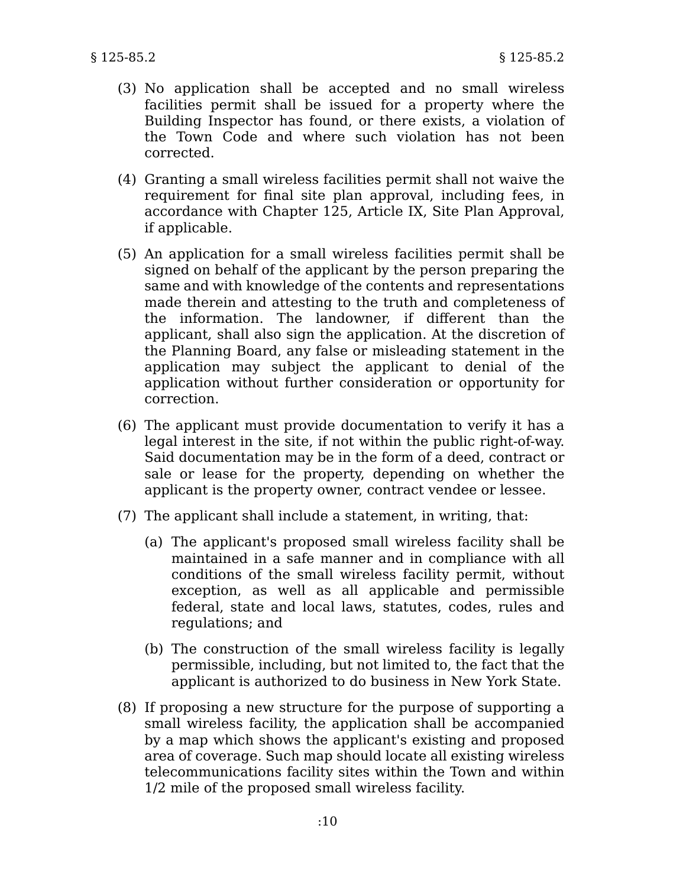- (3) No application shall be accepted and no small wireless facilities permit shall be issued for a property where the Building Inspector has found, or there exists, a violation of the Town Code and where such violation has not been corrected.
- (4) Granting a small wireless facilities permit shall not waive the requirement for final site plan approval, including fees, in accordance with Chapter 125, Article IX, Site Plan Approval, if applicable.
- (5) An application for a small wireless facilities permit shall be signed on behalf of the applicant by the person preparing the same and with knowledge of the contents and representations made therein and attesting to the truth and completeness of the information. The landowner, if different than the applicant, shall also sign the application. At the discretion of the Planning Board, any false or misleading statement in the application may subject the applicant to denial of the application without further consideration or opportunity for correction.
- (6) The applicant must provide documentation to verify it has a legal interest in the site, if not within the public right-of-way. Said documentation may be in the form of a deed, contract or sale or lease for the property, depending on whether the applicant is the property owner, contract vendee or lessee.
- (7) The applicant shall include a statement, in writing, that:
	- (a) The applicant's proposed small wireless facility shall be maintained in a safe manner and in compliance with all conditions of the small wireless facility permit, without exception, as well as all applicable and permissible federal, state and local laws, statutes, codes, rules and regulations; and
	- (b) The construction of the small wireless facility is legally permissible, including, but not limited to, the fact that the applicant is authorized to do business in New York State.
- (8) If proposing a new structure for the purpose of supporting a small wireless facility, the application shall be accompanied by a map which shows the applicant's existing and proposed area of coverage. Such map should locate all existing wireless telecommunications facility sites within the Town and within 1/2 mile of the proposed small wireless facility.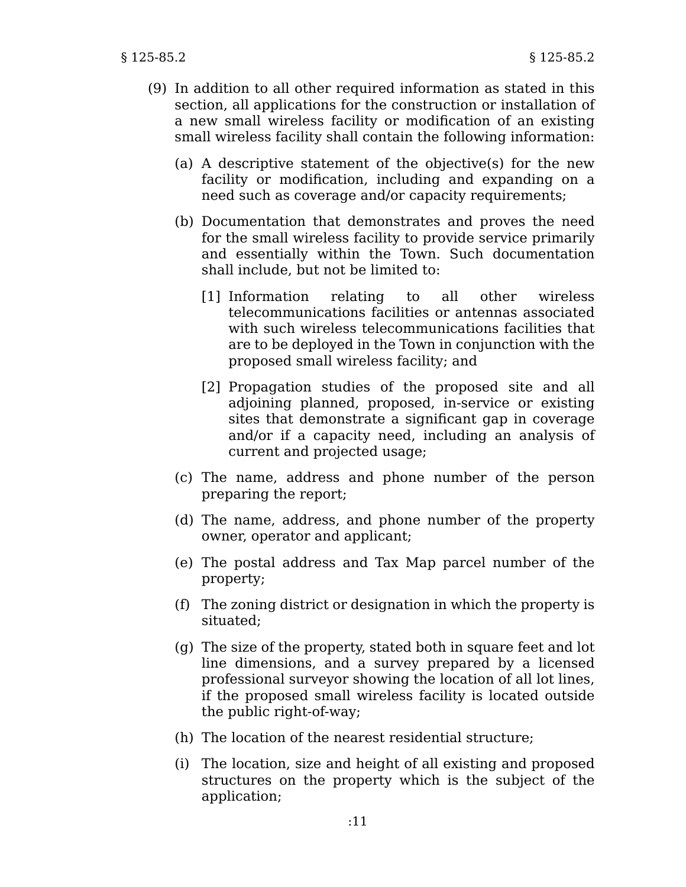- (9) In addition to all other required information as stated in this section, all applications for the construction or installation of a new small wireless facility or modification of an existing small wireless facility shall contain the following information:
	- (a) A descriptive statement of the objective(s) for the new facility or modification, including and expanding on a need such as coverage and/or capacity requirements;
	- (b) Documentation that demonstrates and proves the need for the small wireless facility to provide service primarily and essentially within the Town. Such documentation shall include, but not be limited to:
		- [1] Information relating to all other wireless telecommunications facilities or antennas associated with such wireless telecommunications facilities that are to be deployed in the Town in conjunction with the proposed small wireless facility; and
		- [2] Propagation studies of the proposed site and all adjoining planned, proposed, in-service or existing sites that demonstrate a significant gap in coverage and/or if a capacity need, including an analysis of current and projected usage;
	- (c) The name, address and phone number of the person preparing the report;
	- (d) The name, address, and phone number of the property owner, operator and applicant;
	- (e) The postal address and Tax Map parcel number of the property;
	- (f) The zoning district or designation in which the property is situated;
	- (g) The size of the property, stated both in square feet and lot line dimensions, and a survey prepared by a licensed professional surveyor showing the location of all lot lines, if the proposed small wireless facility is located outside the public right-of-way;
	- (h) The location of the nearest residential structure;
	- (i) The location, size and height of all existing and proposed structures on the property which is the subject of the application;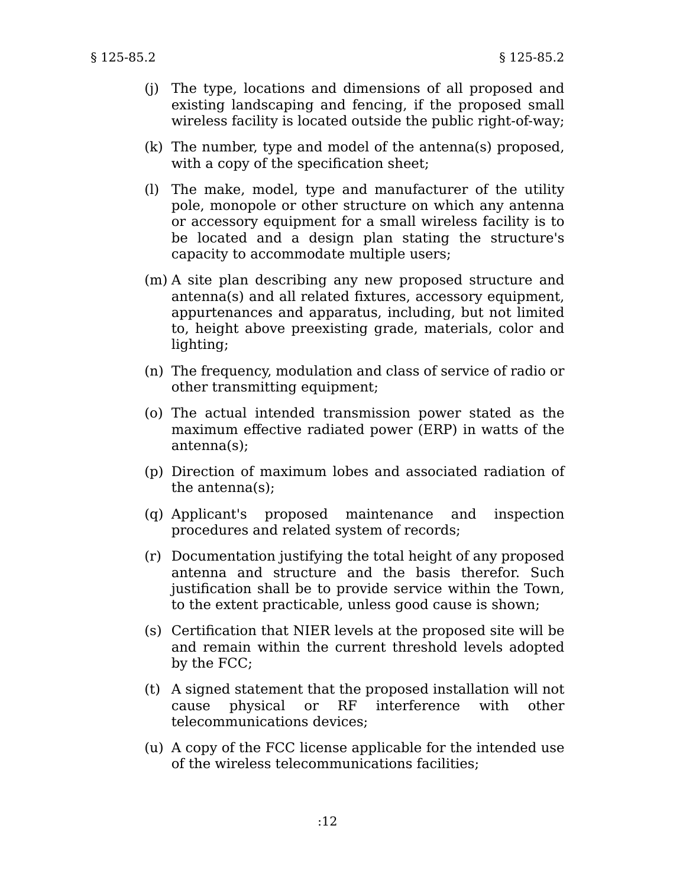- (j) The type, locations and dimensions of all proposed and existing landscaping and fencing, if the proposed small wireless facility is located outside the public right-of-way;
- (k) The number, type and model of the antenna(s) proposed, with a copy of the specification sheet;
- (l) The make, model, type and manufacturer of the utility pole, monopole or other structure on which any antenna or accessory equipment for a small wireless facility is to be located and a design plan stating the structure's capacity to accommodate multiple users;
- (m) A site plan describing any new proposed structure and antenna(s) and all related fixtures, accessory equipment, appurtenances and apparatus, including, but not limited to, height above preexisting grade, materials, color and lighting;
- (n) The frequency, modulation and class of service of radio or other transmitting equipment;
- (o) The actual intended transmission power stated as the maximum effective radiated power (ERP) in watts of the antenna(s);
- (p) Direction of maximum lobes and associated radiation of the antenna(s);
- (q) Applicant's proposed maintenance and inspection procedures and related system of records;
- (r) Documentation justifying the total height of any proposed antenna and structure and the basis therefor. Such justification shall be to provide service within the Town, to the extent practicable, unless good cause is shown;
- (s) Certification that NIER levels at the proposed site will be and remain within the current threshold levels adopted by the FCC;
- (t) A signed statement that the proposed installation will not cause physical or RF interference with other telecommunications devices;
- (u) A copy of the FCC license applicable for the intended use of the wireless telecommunications facilities;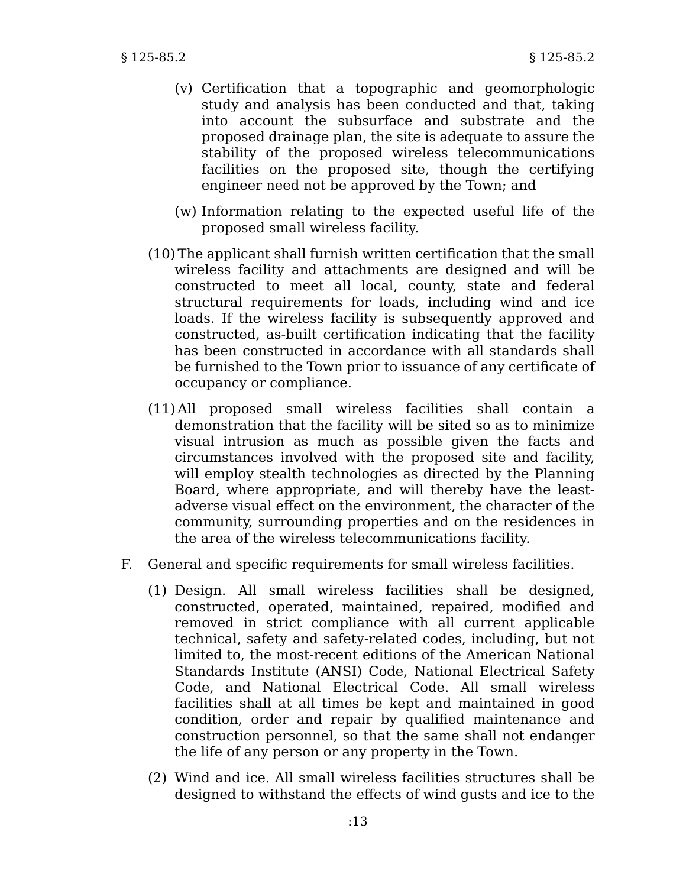- (v) Certification that a topographic and geomorphologic study and analysis has been conducted and that, taking into account the subsurface and substrate and the proposed drainage plan, the site is adequate to assure the stability of the proposed wireless telecommunications facilities on the proposed site, though the certifying engineer need not be approved by the Town; and
- (w) Information relating to the expected useful life of the proposed small wireless facility.
- (10) The applicant shall furnish written certification that the small wireless facility and attachments are designed and will be constructed to meet all local, county, state and federal structural requirements for loads, including wind and ice loads. If the wireless facility is subsequently approved and constructed, as-built certification indicating that the facility has been constructed in accordance with all standards shall be furnished to the Town prior to issuance of any certificate of occupancy or compliance.
- (11) All proposed small wireless facilities shall contain a demonstration that the facility will be sited so as to minimize visual intrusion as much as possible given the facts and circumstances involved with the proposed site and facility, will employ stealth technologies as directed by the Planning Board, where appropriate, and will thereby have the leastadverse visual effect on the environment, the character of the community, surrounding properties and on the residences in the area of the wireless telecommunications facility.
- F. General and specific requirements for small wireless facilities.
	- (1) Design. All small wireless facilities shall be designed, constructed, operated, maintained, repaired, modified and removed in strict compliance with all current applicable technical, safety and safety-related codes, including, but not limited to, the most-recent editions of the American National Standards Institute (ANSI) Code, National Electrical Safety Code, and National Electrical Code. All small wireless facilities shall at all times be kept and maintained in good condition, order and repair by qualified maintenance and construction personnel, so that the same shall not endanger the life of any person or any property in the Town.
	- (2) Wind and ice. All small wireless facilities structures shall be designed to withstand the effects of wind gusts and ice to the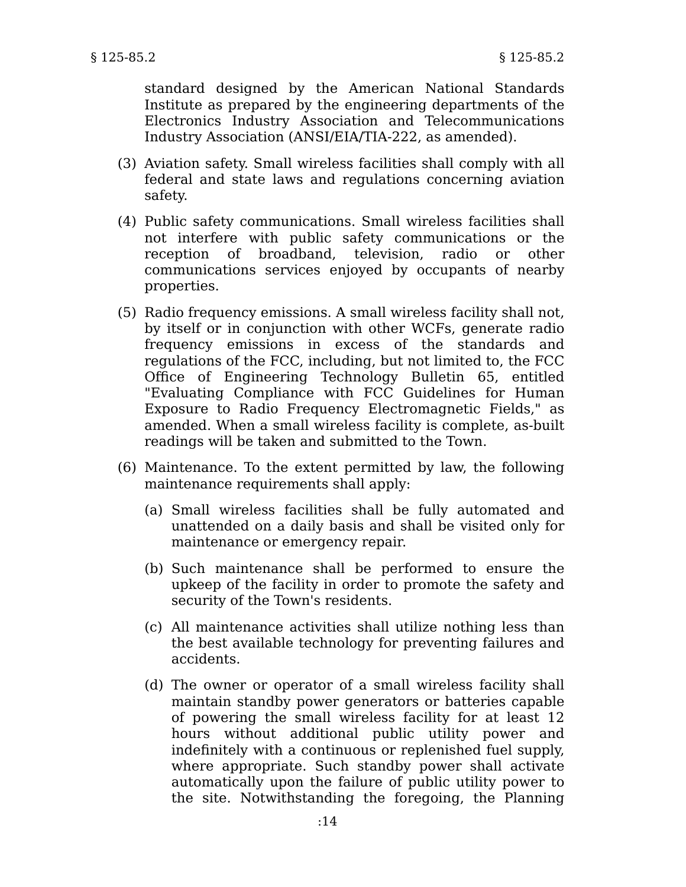standard designed by the American National Standards Institute as prepared by the engineering departments of the Electronics Industry Association and Telecommunications Industry Association (ANSI/EIA/TIA-222, as amended).

- (3) Aviation safety. Small wireless facilities shall comply with all federal and state laws and regulations concerning aviation safety.
- (4) Public safety communications. Small wireless facilities shall not interfere with public safety communications or the reception of broadband, television, radio or other communications services enjoyed by occupants of nearby properties.
- (5) Radio frequency emissions. A small wireless facility shall not, by itself or in conjunction with other WCFs, generate radio frequency emissions in excess of the standards and regulations of the FCC, including, but not limited to, the FCC Office of Engineering Technology Bulletin 65, entitled "Evaluating Compliance with FCC Guidelines for Human Exposure to Radio Frequency Electromagnetic Fields," as amended. When a small wireless facility is complete, as-built readings will be taken and submitted to the Town.
- (6) Maintenance. To the extent permitted by law, the following maintenance requirements shall apply:
	- (a) Small wireless facilities shall be fully automated and unattended on a daily basis and shall be visited only for maintenance or emergency repair.
	- (b) Such maintenance shall be performed to ensure the upkeep of the facility in order to promote the safety and security of the Town's residents.
	- (c) All maintenance activities shall utilize nothing less than the best available technology for preventing failures and accidents.
	- (d) The owner or operator of a small wireless facility shall maintain standby power generators or batteries capable of powering the small wireless facility for at least 12 hours without additional public utility power and indefinitely with a continuous or replenished fuel supply, where appropriate. Such standby power shall activate automatically upon the failure of public utility power to the site. Notwithstanding the foregoing, the Planning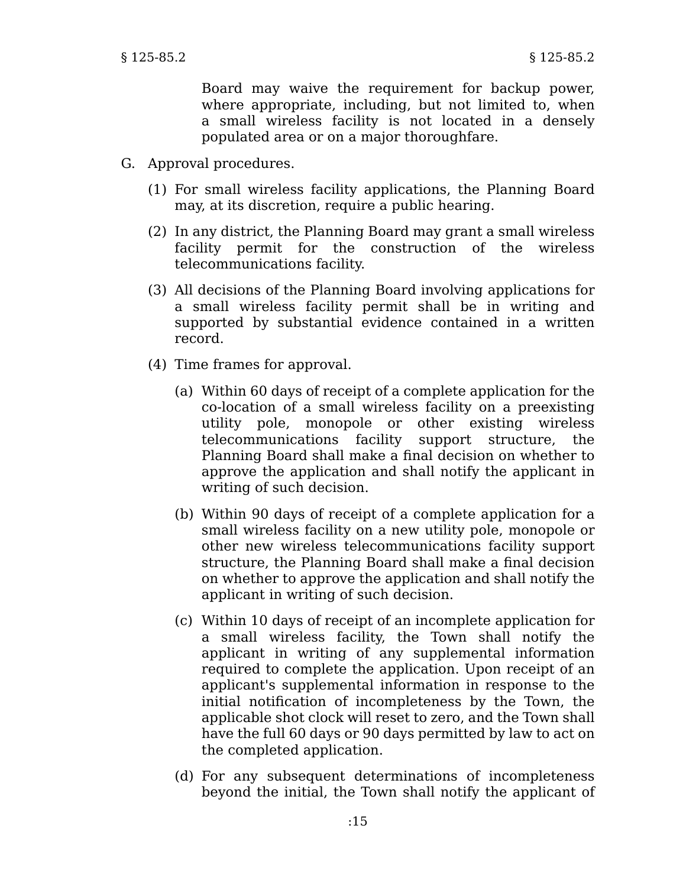Board may waive the requirement for backup power, where appropriate, including, but not limited to, when a small wireless facility is not located in a densely populated area or on a major thoroughfare.

- G. Approval procedures.
	- (1) For small wireless facility applications, the Planning Board may, at its discretion, require a public hearing.
	- (2) In any district, the Planning Board may grant a small wireless facility permit for the construction of the wireless telecommunications facility.
	- (3) All decisions of the Planning Board involving applications for a small wireless facility permit shall be in writing and supported by substantial evidence contained in a written record.
	- (4) Time frames for approval.
		- (a) Within 60 days of receipt of a complete application for the co-location of a small wireless facility on a preexisting utility pole, monopole or other existing wireless telecommunications facility support structure, the Planning Board shall make a final decision on whether to approve the application and shall notify the applicant in writing of such decision.
		- (b) Within 90 days of receipt of a complete application for a small wireless facility on a new utility pole, monopole or other new wireless telecommunications facility support structure, the Planning Board shall make a final decision on whether to approve the application and shall notify the applicant in writing of such decision.
		- (c) Within 10 days of receipt of an incomplete application for a small wireless facility, the Town shall notify the applicant in writing of any supplemental information required to complete the application. Upon receipt of an applicant's supplemental information in response to the initial notification of incompleteness by the Town, the applicable shot clock will reset to zero, and the Town shall have the full 60 days or 90 days permitted by law to act on the completed application.
		- (d) For any subsequent determinations of incompleteness beyond the initial, the Town shall notify the applicant of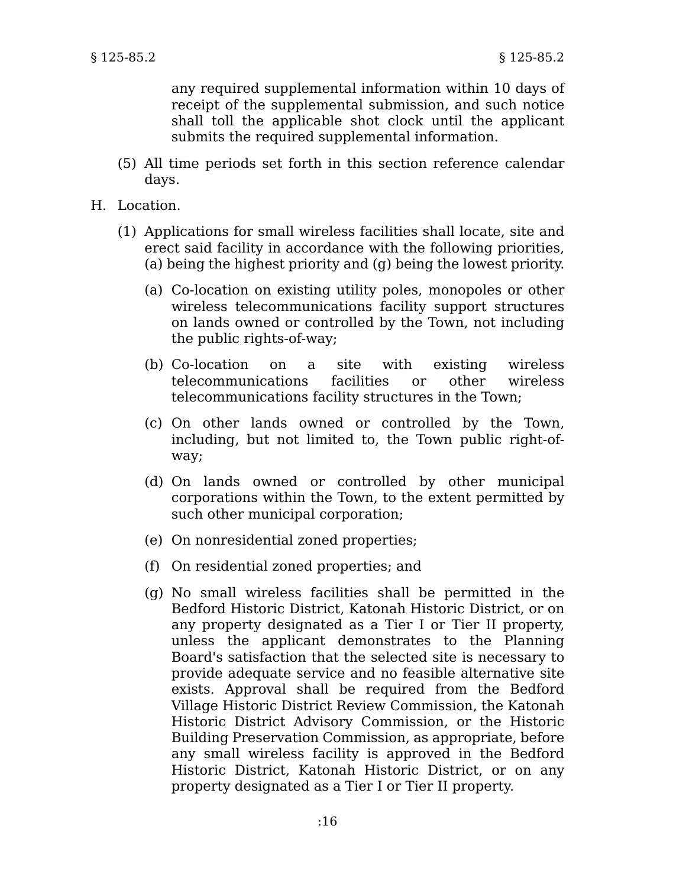any required supplemental information within 10 days of receipt of the supplemental submission, and such notice shall toll the applicable shot clock until the applicant submits the required supplemental information.

- (5) All time periods set forth in this section reference calendar days.
- H. Location.
	- (1) Applications for small wireless facilities shall locate, site and erect said facility in accordance with the following priorities, (a) being the highest priority and (g) being the lowest priority.
		- (a) Co-location on existing utility poles, monopoles or other wireless telecommunications facility support structures on lands owned or controlled by the Town, not including the public rights-of-way;
		- (b) Co-location on a site with existing wireless telecommunications facilities or other wireless telecommunications facility structures in the Town;
		- (c) On other lands owned or controlled by the Town, including, but not limited to, the Town public right-ofway;
		- (d) On lands owned or controlled by other municipal corporations within the Town, to the extent permitted by such other municipal corporation;
		- (e) On nonresidential zoned properties;
		- (f) On residential zoned properties; and
		- (g) No small wireless facilities shall be permitted in the Bedford Historic District, Katonah Historic District, or on any property designated as a Tier I or Tier II property, unless the applicant demonstrates to the Planning Board's satisfaction that the selected site is necessary to provide adequate service and no feasible alternative site exists. Approval shall be required from the Bedford Village Historic District Review Commission, the Katonah Historic District Advisory Commission, or the Historic Building Preservation Commission, as appropriate, before any small wireless facility is approved in the Bedford Historic District, Katonah Historic District, or on any property designated as a Tier I or Tier II property.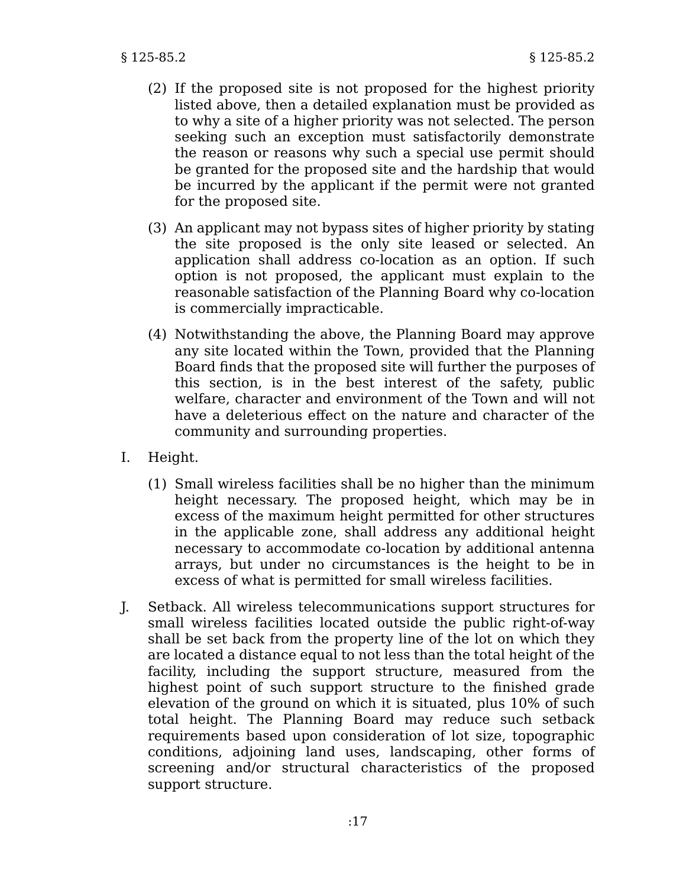- (2) If the proposed site is not proposed for the highest priority listed above, then a detailed explanation must be provided as to why a site of a higher priority was not selected. The person seeking such an exception must satisfactorily demonstrate the reason or reasons why such a special use permit should be granted for the proposed site and the hardship that would be incurred by the applicant if the permit were not granted for the proposed site.
- (3) An applicant may not bypass sites of higher priority by stating the site proposed is the only site leased or selected. An application shall address co-location as an option. If such option is not proposed, the applicant must explain to the reasonable satisfaction of the Planning Board why co-location is commercially impracticable.
- (4) Notwithstanding the above, the Planning Board may approve any site located within the Town, provided that the Planning Board finds that the proposed site will further the purposes of this section, is in the best interest of the safety, public welfare, character and environment of the Town and will not have a deleterious effect on the nature and character of the community and surrounding properties.
- I. Height.
	- (1) Small wireless facilities shall be no higher than the minimum height necessary. The proposed height, which may be in excess of the maximum height permitted for other structures in the applicable zone, shall address any additional height necessary to accommodate co-location by additional antenna arrays, but under no circumstances is the height to be in excess of what is permitted for small wireless facilities.
- J. Setback. All wireless telecommunications support structures for small wireless facilities located outside the public right-of-way shall be set back from the property line of the lot on which they are located a distance equal to not less than the total height of the facility, including the support structure, measured from the highest point of such support structure to the finished grade elevation of the ground on which it is situated, plus 10% of such total height. The Planning Board may reduce such setback requirements based upon consideration of lot size, topographic conditions, adjoining land uses, landscaping, other forms of screening and/or structural characteristics of the proposed support structure.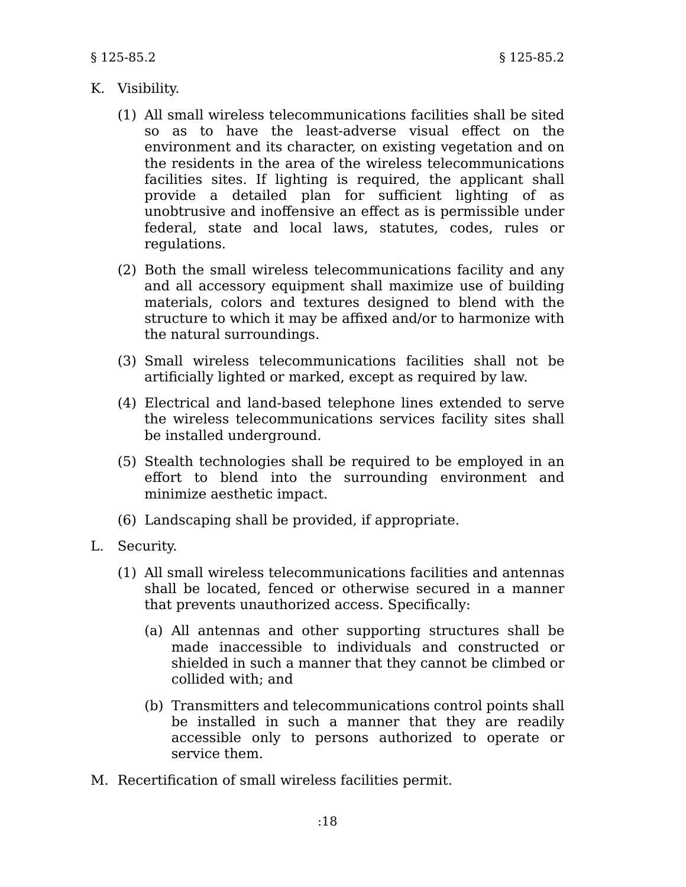## K. Visibility.

- (1) All small wireless telecommunications facilities shall be sited so as to have the least-adverse visual effect on the environment and its character, on existing vegetation and on the residents in the area of the wireless telecommunications facilities sites. If lighting is required, the applicant shall provide a detailed plan for sufficient lighting of as unobtrusive and inoffensive an effect as is permissible under federal, state and local laws, statutes, codes, rules or regulations.
- (2) Both the small wireless telecommunications facility and any and all accessory equipment shall maximize use of building materials, colors and textures designed to blend with the structure to which it may be affixed and/or to harmonize with the natural surroundings.
- (3) Small wireless telecommunications facilities shall not be artificially lighted or marked, except as required by law.
- (4) Electrical and land-based telephone lines extended to serve the wireless telecommunications services facility sites shall be installed underground.
- (5) Stealth technologies shall be required to be employed in an effort to blend into the surrounding environment and minimize aesthetic impact.
- (6) Landscaping shall be provided, if appropriate.
- L. Security.
	- (1) All small wireless telecommunications facilities and antennas shall be located, fenced or otherwise secured in a manner that prevents unauthorized access. Specifically:
		- (a) All antennas and other supporting structures shall be made inaccessible to individuals and constructed or shielded in such a manner that they cannot be climbed or collided with; and
		- (b) Transmitters and telecommunications control points shall be installed in such a manner that they are readily accessible only to persons authorized to operate or service them.
- M. Recertification of small wireless facilities permit.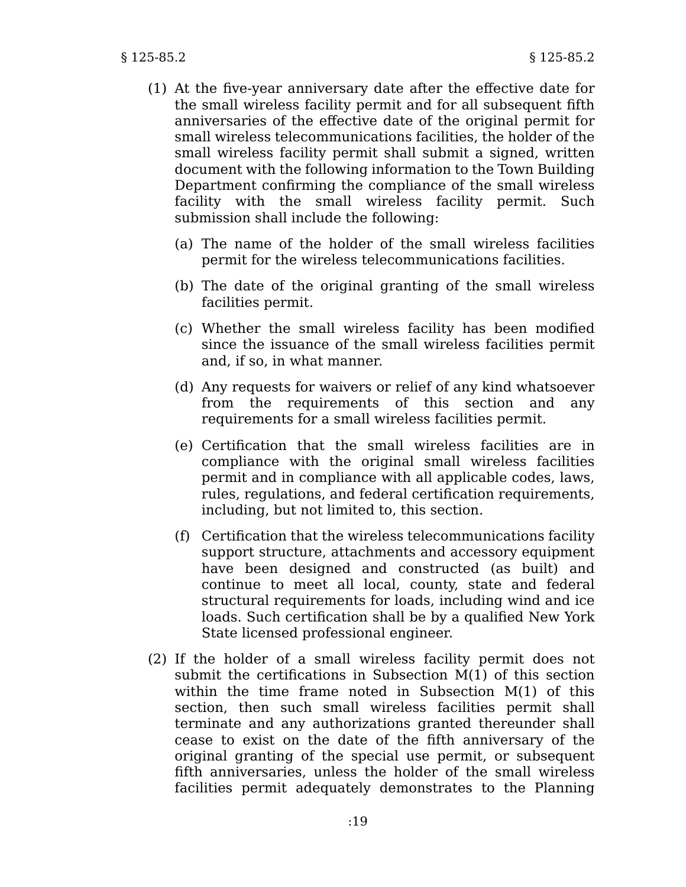- (1) At the five-year anniversary date after the effective date for the small wireless facility permit and for all subsequent fifth anniversaries of the effective date of the original permit for small wireless telecommunications facilities, the holder of the small wireless facility permit shall submit a signed, written document with the following information to the Town Building Department confirming the compliance of the small wireless facility with the small wireless facility permit. Such submission shall include the following:
	- (a) The name of the holder of the small wireless facilities permit for the wireless telecommunications facilities.
	- (b) The date of the original granting of the small wireless facilities permit.
	- (c) Whether the small wireless facility has been modified since the issuance of the small wireless facilities permit and, if so, in what manner.
	- (d) Any requests for waivers or relief of any kind whatsoever from the requirements of this section and any requirements for a small wireless facilities permit.
	- (e) Certification that the small wireless facilities are in compliance with the original small wireless facilities permit and in compliance with all applicable codes, laws, rules, regulations, and federal certification requirements, including, but not limited to, this section.
	- (f) Certification that the wireless telecommunications facility support structure, attachments and accessory equipment have been designed and constructed (as built) and continue to meet all local, county, state and federal structural requirements for loads, including wind and ice loads. Such certification shall be by a qualified New York State licensed professional engineer.
- (2) If the holder of a small wireless facility permit does not submit the certifications in Subsection M(1) of this section within the time frame noted in Subsection M(1) of this section, then such small wireless facilities permit shall terminate and any authorizations granted thereunder shall cease to exist on the date of the fifth anniversary of the original granting of the special use permit, or subsequent fifth anniversaries, unless the holder of the small wireless facilities permit adequately demonstrates to the Planning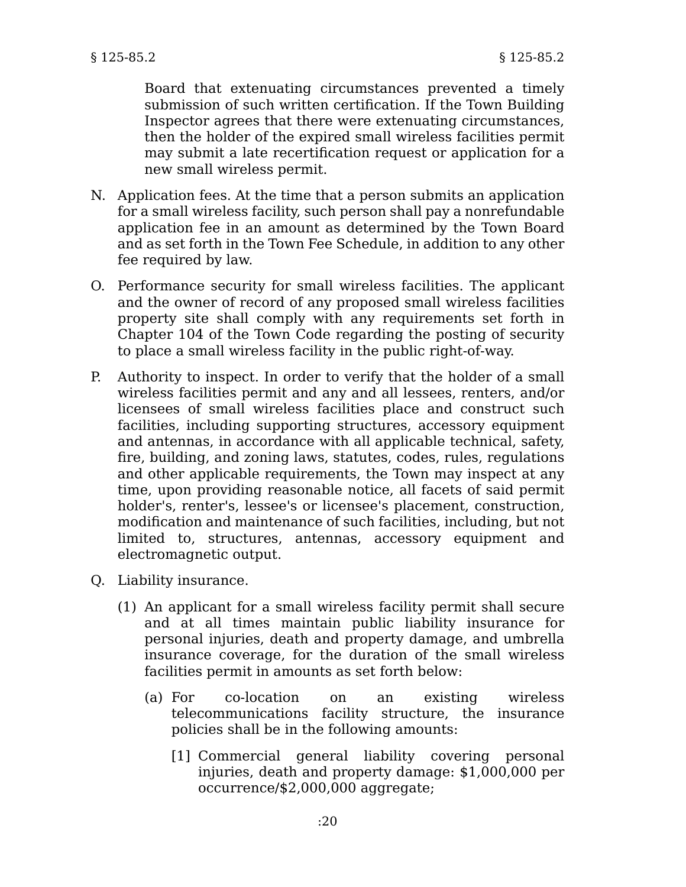Board that extenuating circumstances prevented a timely submission of such written certification. If the Town Building Inspector agrees that there were extenuating circumstances, then the holder of the expired small wireless facilities permit may submit a late recertification request or application for a new small wireless permit.

- N. Application fees. At the time that a person submits an application for a small wireless facility, such person shall pay a nonrefundable application fee in an amount as determined by the Town Board and as set forth in the Town Fee Schedule, in addition to any other fee required by law.
- O. Performance security for small wireless facilities. The applicant and the owner of record of any proposed small wireless facilities property site shall comply with any requirements set forth in Chapter 104 of the Town Code regarding the posting of security to place a small wireless facility in the public right-of-way.
- P. Authority to inspect. In order to verify that the holder of a small wireless facilities permit and any and all lessees, renters, and/or licensees of small wireless facilities place and construct such facilities, including supporting structures, accessory equipment and antennas, in accordance with all applicable technical, safety, fire, building, and zoning laws, statutes, codes, rules, regulations and other applicable requirements, the Town may inspect at any time, upon providing reasonable notice, all facets of said permit holder's, renter's, lessee's or licensee's placement, construction, modification and maintenance of such facilities, including, but not limited to, structures, antennas, accessory equipment and electromagnetic output.
- Q. Liability insurance.
	- (1) An applicant for a small wireless facility permit shall secure and at all times maintain public liability insurance for personal injuries, death and property damage, and umbrella insurance coverage, for the duration of the small wireless facilities permit in amounts as set forth below:
		- (a) For co-location on an existing wireless telecommunications facility structure, the insurance policies shall be in the following amounts:
			- [1] Commercial general liability covering personal injuries, death and property damage: \$1,000,000 per occurrence/\$2,000,000 aggregate;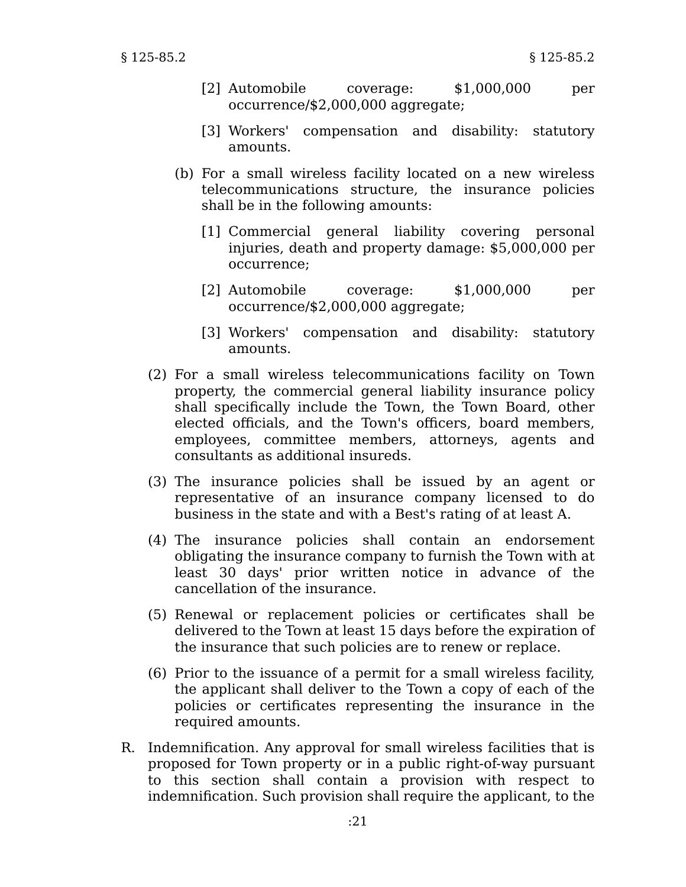- [2] Automobile coverage: \$1,000,000 per occurrence/\$2,000,000 aggregate;
- [3] Workers' compensation and disability: statutory amounts.
- (b) For a small wireless facility located on a new wireless telecommunications structure, the insurance policies shall be in the following amounts:
	- [1] Commercial general liability covering personal injuries, death and property damage: \$5,000,000 per occurrence;
	- [2] Automobile coverage: \$1,000,000 per occurrence/\$2,000,000 aggregate;
	- [3] Workers' compensation and disability: statutory amounts.
- (2) For a small wireless telecommunications facility on Town property, the commercial general liability insurance policy shall specifically include the Town, the Town Board, other elected officials, and the Town's officers, board members, employees, committee members, attorneys, agents and consultants as additional insureds.
- (3) The insurance policies shall be issued by an agent or representative of an insurance company licensed to do business in the state and with a Best's rating of at least A.
- (4) The insurance policies shall contain an endorsement obligating the insurance company to furnish the Town with at least 30 days' prior written notice in advance of the cancellation of the insurance.
- (5) Renewal or replacement policies or certificates shall be delivered to the Town at least 15 days before the expiration of the insurance that such policies are to renew or replace.
- (6) Prior to the issuance of a permit for a small wireless facility, the applicant shall deliver to the Town a copy of each of the policies or certificates representing the insurance in the required amounts.
- R. Indemnification. Any approval for small wireless facilities that is proposed for Town property or in a public right-of-way pursuant to this section shall contain a provision with respect to indemnification. Such provision shall require the applicant, to the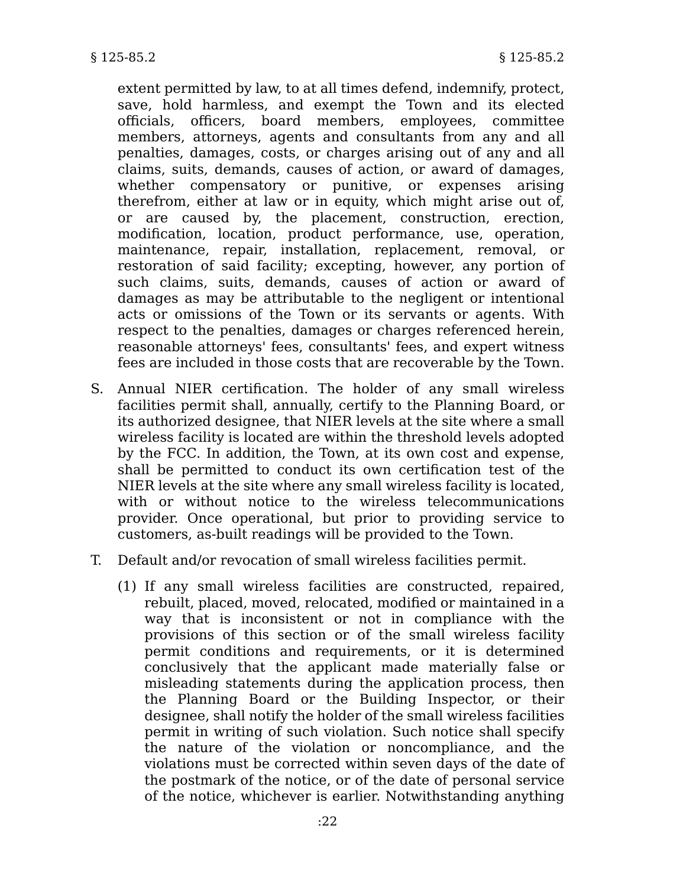extent permitted by law, to at all times defend, indemnify, protect, save, hold harmless, and exempt the Town and its elected officials, officers, board members, employees, committee members, attorneys, agents and consultants from any and all penalties, damages, costs, or charges arising out of any and all claims, suits, demands, causes of action, or award of damages, whether compensatory or punitive, or expenses arising therefrom, either at law or in equity, which might arise out of, or are caused by, the placement, construction, erection, modification, location, product performance, use, operation, maintenance, repair, installation, replacement, removal, or restoration of said facility; excepting, however, any portion of such claims, suits, demands, causes of action or award of damages as may be attributable to the negligent or intentional acts or omissions of the Town or its servants or agents. With respect to the penalties, damages or charges referenced herein, reasonable attorneys' fees, consultants' fees, and expert witness fees are included in those costs that are recoverable by the Town.

- S. Annual NIER certification. The holder of any small wireless facilities permit shall, annually, certify to the Planning Board, or its authorized designee, that NIER levels at the site where a small wireless facility is located are within the threshold levels adopted by the FCC. In addition, the Town, at its own cost and expense, shall be permitted to conduct its own certification test of the NIER levels at the site where any small wireless facility is located, with or without notice to the wireless telecommunications provider. Once operational, but prior to providing service to customers, as-built readings will be provided to the Town.
- T. Default and/or revocation of small wireless facilities permit.
	- (1) If any small wireless facilities are constructed, repaired, rebuilt, placed, moved, relocated, modified or maintained in a way that is inconsistent or not in compliance with the provisions of this section or of the small wireless facility permit conditions and requirements, or it is determined conclusively that the applicant made materially false or misleading statements during the application process, then the Planning Board or the Building Inspector, or their designee, shall notify the holder of the small wireless facilities permit in writing of such violation. Such notice shall specify the nature of the violation or noncompliance, and the violations must be corrected within seven days of the date of the postmark of the notice, or of the date of personal service of the notice, whichever is earlier. Notwithstanding anything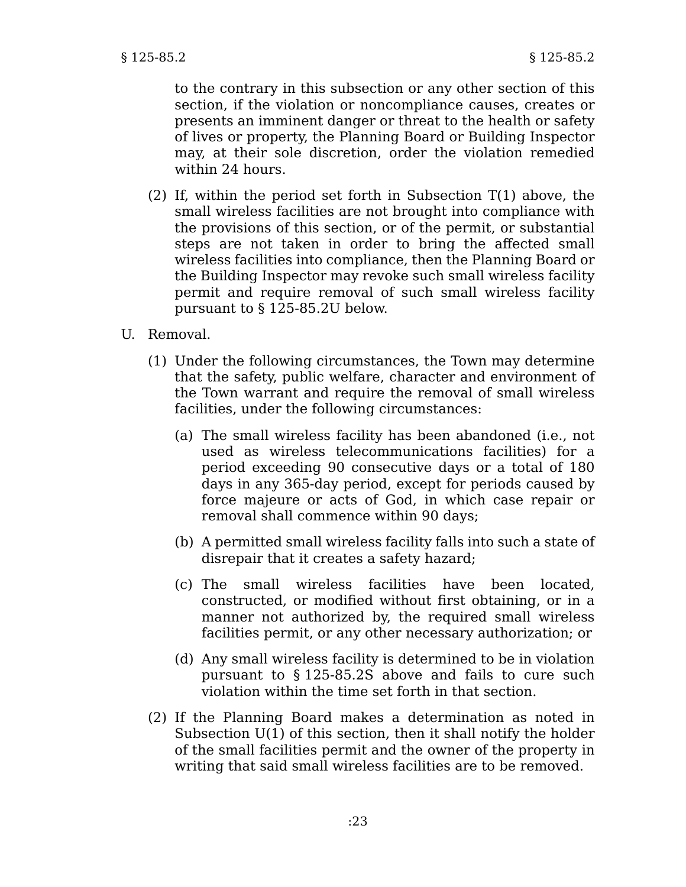to the contrary in this subsection or any other section of this section, if the violation or noncompliance causes, creates or presents an imminent danger or threat to the health or safety of lives or property, the Planning Board or Building Inspector may, at their sole discretion, order the violation remedied within 24 hours.

- (2) If, within the period set forth in Subsection T(1) above, the small wireless facilities are not brought into compliance with the provisions of this section, or of the permit, or substantial steps are not taken in order to bring the affected small wireless facilities into compliance, then the Planning Board or the Building Inspector may revoke such small wireless facility permit and require removal of such small wireless facility pursuant to § 125-85.2U below.
- U. Removal.
	- (1) Under the following circumstances, the Town may determine that the safety, public welfare, character and environment of the Town warrant and require the removal of small wireless facilities, under the following circumstances:
		- (a) The small wireless facility has been abandoned (i.e., not used as wireless telecommunications facilities) for a period exceeding 90 consecutive days or a total of 180 days in any 365-day period, except for periods caused by force majeure or acts of God, in which case repair or removal shall commence within 90 days;
		- (b) A permitted small wireless facility falls into such a state of disrepair that it creates a safety hazard;
		- (c) The small wireless facilities have been located, constructed, or modified without first obtaining, or in a manner not authorized by, the required small wireless facilities permit, or any other necessary authorization; or
		- (d) Any small wireless facility is determined to be in violation pursuant to § 125-85.2S above and fails to cure such violation within the time set forth in that section.
	- (2) If the Planning Board makes a determination as noted in Subsection U(1) of this section, then it shall notify the holder of the small facilities permit and the owner of the property in writing that said small wireless facilities are to be removed.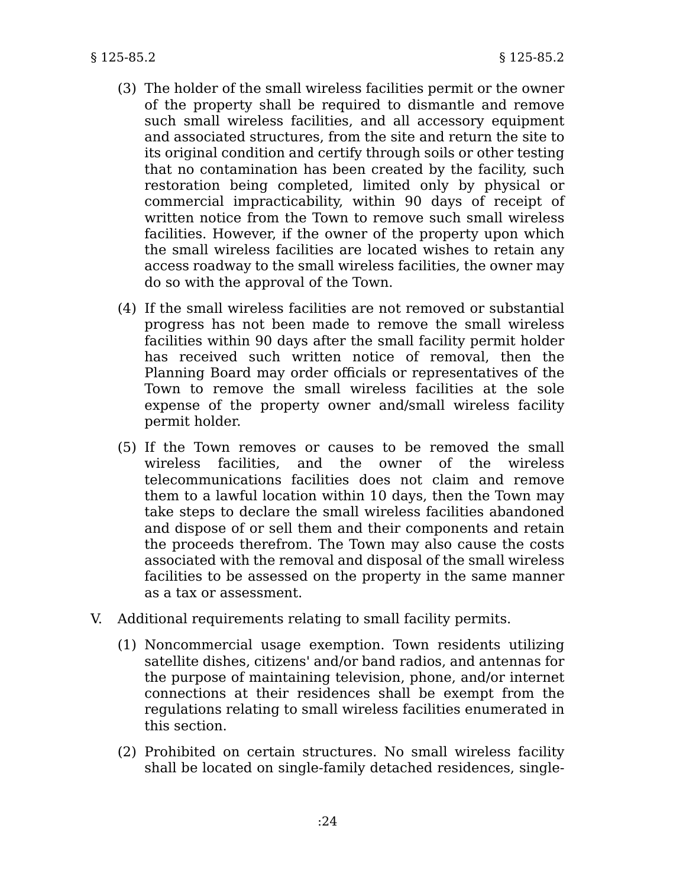- (3) The holder of the small wireless facilities permit or the owner of the property shall be required to dismantle and remove such small wireless facilities, and all accessory equipment and associated structures, from the site and return the site to its original condition and certify through soils or other testing that no contamination has been created by the facility, such restoration being completed, limited only by physical or commercial impracticability, within 90 days of receipt of written notice from the Town to remove such small wireless facilities. However, if the owner of the property upon which the small wireless facilities are located wishes to retain any access roadway to the small wireless facilities, the owner may do so with the approval of the Town.
- (4) If the small wireless facilities are not removed or substantial progress has not been made to remove the small wireless facilities within 90 days after the small facility permit holder has received such written notice of removal, then the Planning Board may order officials or representatives of the Town to remove the small wireless facilities at the sole expense of the property owner and/small wireless facility permit holder.
- (5) If the Town removes or causes to be removed the small wireless facilities, and the owner of the wireless telecommunications facilities does not claim and remove them to a lawful location within 10 days, then the Town may take steps to declare the small wireless facilities abandoned and dispose of or sell them and their components and retain the proceeds therefrom. The Town may also cause the costs associated with the removal and disposal of the small wireless facilities to be assessed on the property in the same manner as a tax or assessment.
- V. Additional requirements relating to small facility permits.
	- (1) Noncommercial usage exemption. Town residents utilizing satellite dishes, citizens' and/or band radios, and antennas for the purpose of maintaining television, phone, and/or internet connections at their residences shall be exempt from the regulations relating to small wireless facilities enumerated in this section.
	- (2) Prohibited on certain structures. No small wireless facility shall be located on single-family detached residences, single-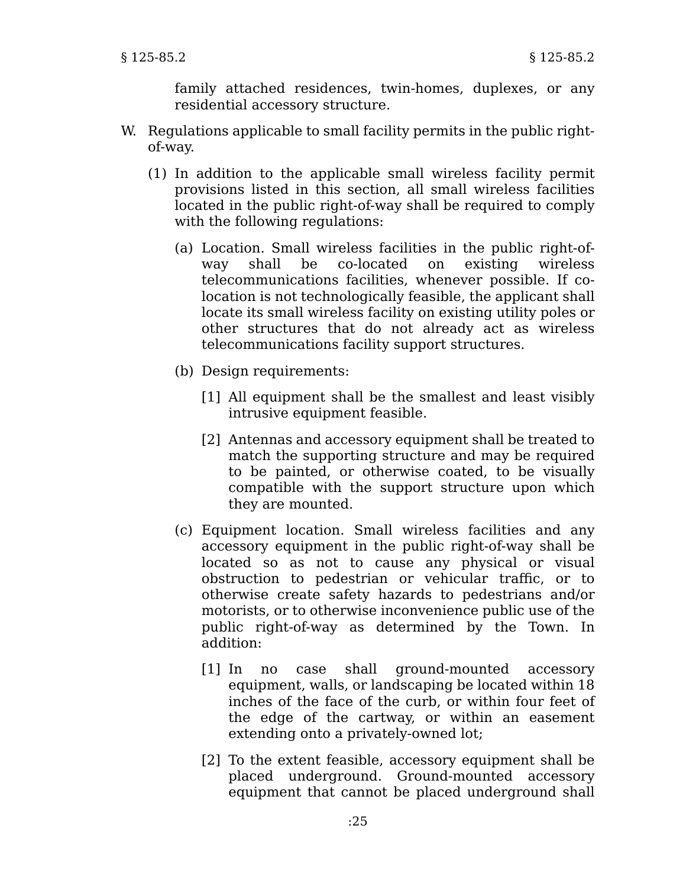family attached residences, twin-homes, duplexes, or any residential accessory structure.

- W. Regulations applicable to small facility permits in the public rightof-way.
	- (1) In addition to the applicable small wireless facility permit provisions listed in this section, all small wireless facilities located in the public right-of-way shall be required to comply with the following regulations:
		- (a) Location. Small wireless facilities in the public right-ofway shall be co-located on existing wireless telecommunications facilities, whenever possible. If colocation is not technologically feasible, the applicant shall locate its small wireless facility on existing utility poles or other structures that do not already act as wireless telecommunications facility support structures.
		- (b) Design requirements:
			- [1] All equipment shall be the smallest and least visibly intrusive equipment feasible.
			- [2] Antennas and accessory equipment shall be treated to match the supporting structure and may be required to be painted, or otherwise coated, to be visually compatible with the support structure upon which they are mounted.
		- (c) Equipment location. Small wireless facilities and any accessory equipment in the public right-of-way shall be located so as not to cause any physical or visual obstruction to pedestrian or vehicular traffic, or to otherwise create safety hazards to pedestrians and/or motorists, or to otherwise inconvenience public use of the public right-of-way as determined by the Town. In addition:
			- [1] In no case shall ground-mounted accessory equipment, walls, or landscaping be located within 18 inches of the face of the curb, or within four feet of the edge of the cartway, or within an easement extending onto a privately-owned lot;
			- [2] To the extent feasible, accessory equipment shall be placed underground. Ground-mounted accessory equipment that cannot be placed underground shall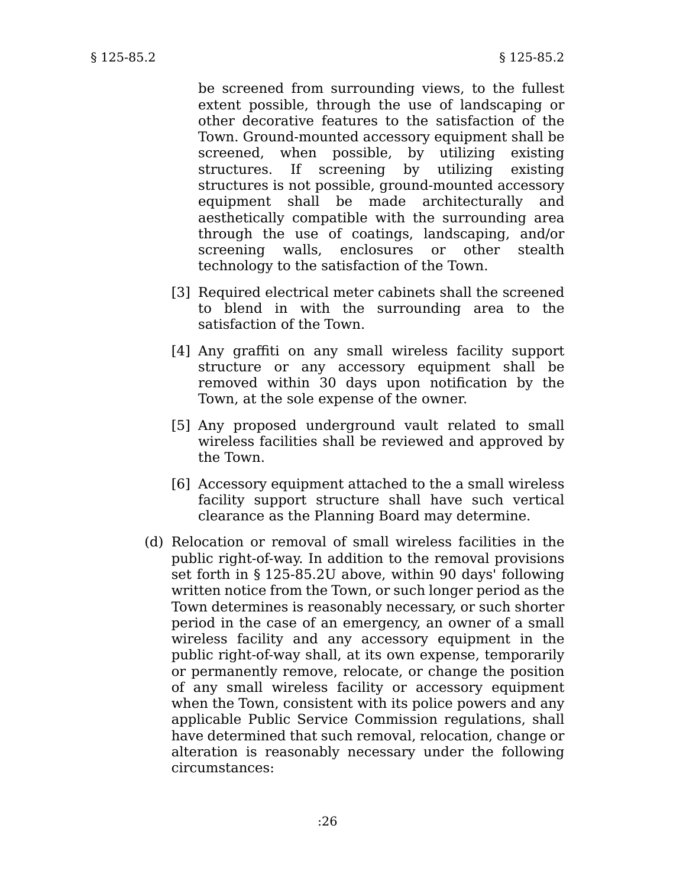be screened from surrounding views, to the fullest extent possible, through the use of landscaping or other decorative features to the satisfaction of the Town. Ground-mounted accessory equipment shall be screened, when possible, by utilizing existing structures. If screening by utilizing existing structures is not possible, ground-mounted accessory equipment shall be made architecturally and aesthetically compatible with the surrounding area through the use of coatings, landscaping, and/or screening walls, enclosures or other stealth technology to the satisfaction of the Town.

- [3] Required electrical meter cabinets shall the screened to blend in with the surrounding area to the satisfaction of the Town.
- [4] Any graffiti on any small wireless facility support structure or any accessory equipment shall be removed within 30 days upon notification by the Town, at the sole expense of the owner.
- [5] Any proposed underground vault related to small wireless facilities shall be reviewed and approved by the Town.
- [6] Accessory equipment attached to the a small wireless facility support structure shall have such vertical clearance as the Planning Board may determine.
- (d) Relocation or removal of small wireless facilities in the public right-of-way. In addition to the removal provisions set forth in § 125-85.2U above, within 90 days' following written notice from the Town, or such longer period as the Town determines is reasonably necessary, or such shorter period in the case of an emergency, an owner of a small wireless facility and any accessory equipment in the public right-of-way shall, at its own expense, temporarily or permanently remove, relocate, or change the position of any small wireless facility or accessory equipment when the Town, consistent with its police powers and any applicable Public Service Commission regulations, shall have determined that such removal, relocation, change or alteration is reasonably necessary under the following circumstances: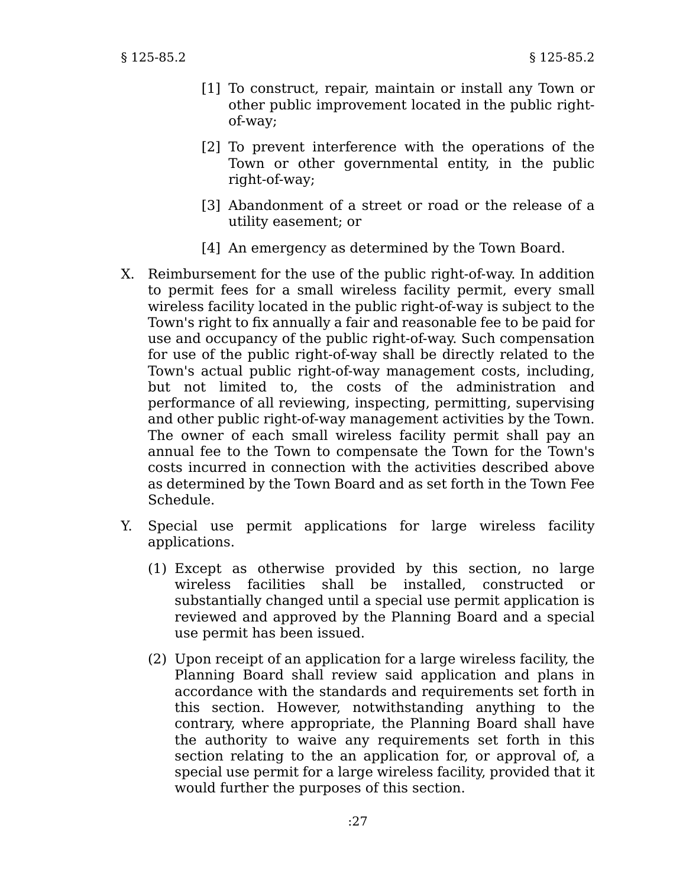- [1] To construct, repair, maintain or install any Town or other public improvement located in the public rightof-way;
- [2] To prevent interference with the operations of the Town or other governmental entity, in the public right-of-way;
- [3] Abandonment of a street or road or the release of a utility easement; or
- [4] An emergency as determined by the Town Board.
- X. Reimbursement for the use of the public right-of-way. In addition to permit fees for a small wireless facility permit, every small wireless facility located in the public right-of-way is subject to the Town's right to fix annually a fair and reasonable fee to be paid for use and occupancy of the public right-of-way. Such compensation for use of the public right-of-way shall be directly related to the Town's actual public right-of-way management costs, including, but not limited to, the costs of the administration and performance of all reviewing, inspecting, permitting, supervising and other public right-of-way management activities by the Town. The owner of each small wireless facility permit shall pay an annual fee to the Town to compensate the Town for the Town's costs incurred in connection with the activities described above as determined by the Town Board and as set forth in the Town Fee Schedule.
- Y. Special use permit applications for large wireless facility applications.
	- (1) Except as otherwise provided by this section, no large wireless facilities shall be installed, constructed or substantially changed until a special use permit application is reviewed and approved by the Planning Board and a special use permit has been issued.
	- (2) Upon receipt of an application for a large wireless facility, the Planning Board shall review said application and plans in accordance with the standards and requirements set forth in this section. However, notwithstanding anything to the contrary, where appropriate, the Planning Board shall have the authority to waive any requirements set forth in this section relating to the an application for, or approval of, a special use permit for a large wireless facility, provided that it would further the purposes of this section.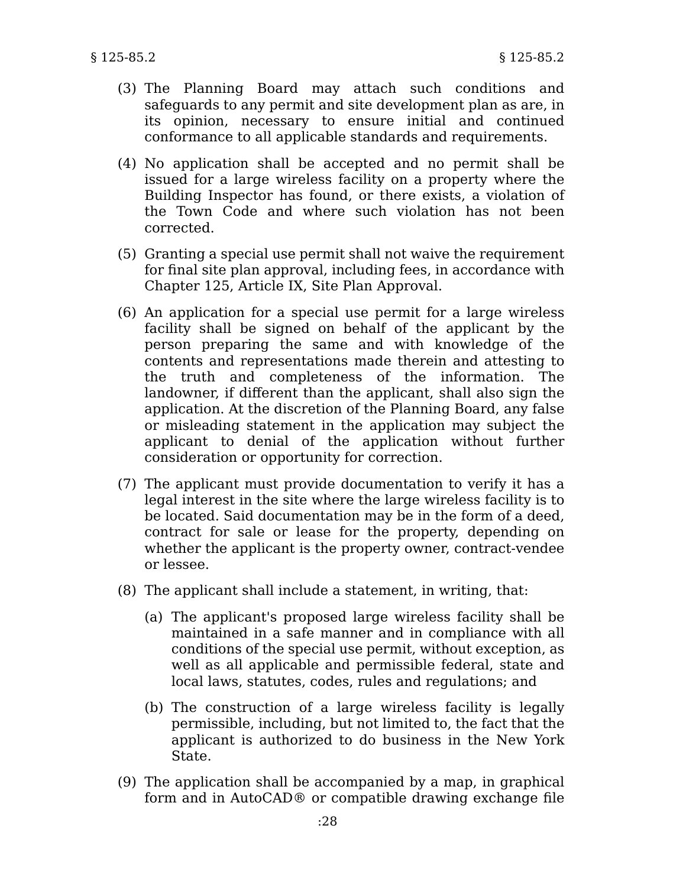- (3) The Planning Board may attach such conditions and safeguards to any permit and site development plan as are, in its opinion, necessary to ensure initial and continued conformance to all applicable standards and requirements.
- (4) No application shall be accepted and no permit shall be issued for a large wireless facility on a property where the Building Inspector has found, or there exists, a violation of the Town Code and where such violation has not been corrected.
- (5) Granting a special use permit shall not waive the requirement for final site plan approval, including fees, in accordance with Chapter 125, Article IX, Site Plan Approval.
- (6) An application for a special use permit for a large wireless facility shall be signed on behalf of the applicant by the person preparing the same and with knowledge of the contents and representations made therein and attesting to the truth and completeness of the information. The landowner, if different than the applicant, shall also sign the application. At the discretion of the Planning Board, any false or misleading statement in the application may subject the applicant to denial of the application without further consideration or opportunity for correction.
- (7) The applicant must provide documentation to verify it has a legal interest in the site where the large wireless facility is to be located. Said documentation may be in the form of a deed, contract for sale or lease for the property, depending on whether the applicant is the property owner, contract-vendee or lessee.
- (8) The applicant shall include a statement, in writing, that:
	- (a) The applicant's proposed large wireless facility shall be maintained in a safe manner and in compliance with all conditions of the special use permit, without exception, as well as all applicable and permissible federal, state and local laws, statutes, codes, rules and regulations; and
	- (b) The construction of a large wireless facility is legally permissible, including, but not limited to, the fact that the applicant is authorized to do business in the New York State.
- (9) The application shall be accompanied by a map, in graphical form and in AutoCAD® or compatible drawing exchange file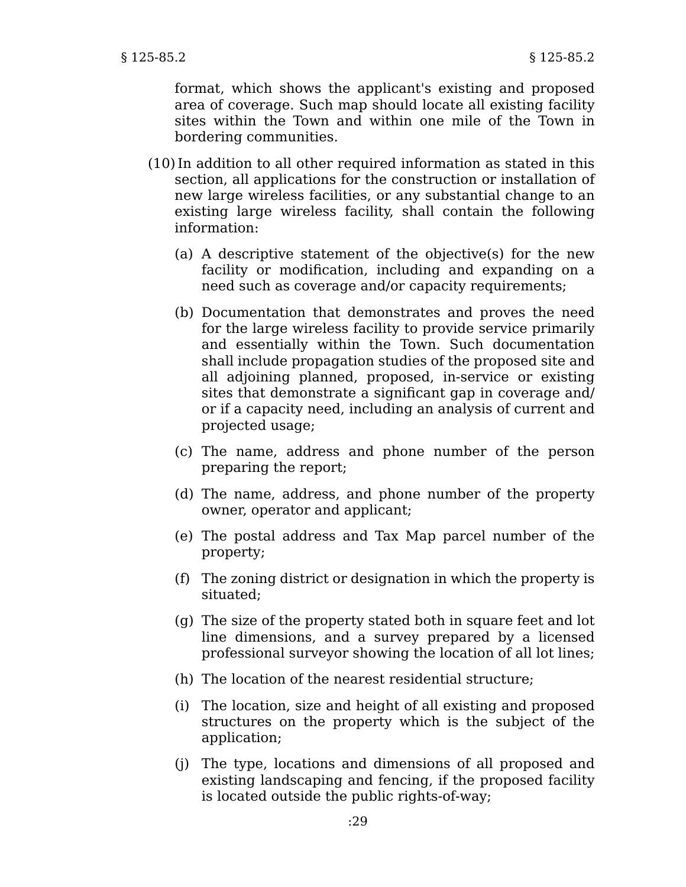format, which shows the applicant's existing and proposed area of coverage. Such map should locate all existing facility sites within the Town and within one mile of the Town in bordering communities.

- (10)In addition to all other required information as stated in this section, all applications for the construction or installation of new large wireless facilities, or any substantial change to an existing large wireless facility, shall contain the following information:
	- (a) A descriptive statement of the objective(s) for the new facility or modification, including and expanding on a need such as coverage and/or capacity requirements;
	- (b) Documentation that demonstrates and proves the need for the large wireless facility to provide service primarily and essentially within the Town. Such documentation shall include propagation studies of the proposed site and all adjoining planned, proposed, in-service or existing sites that demonstrate a significant gap in coverage and/ or if a capacity need, including an analysis of current and projected usage;
	- (c) The name, address and phone number of the person preparing the report;
	- (d) The name, address, and phone number of the property owner, operator and applicant;
	- (e) The postal address and Tax Map parcel number of the property;
	- (f) The zoning district or designation in which the property is situated;
	- (g) The size of the property stated both in square feet and lot line dimensions, and a survey prepared by a licensed professional surveyor showing the location of all lot lines;
	- (h) The location of the nearest residential structure;
	- (i) The location, size and height of all existing and proposed structures on the property which is the subject of the application;
	- (j) The type, locations and dimensions of all proposed and existing landscaping and fencing, if the proposed facility is located outside the public rights-of-way;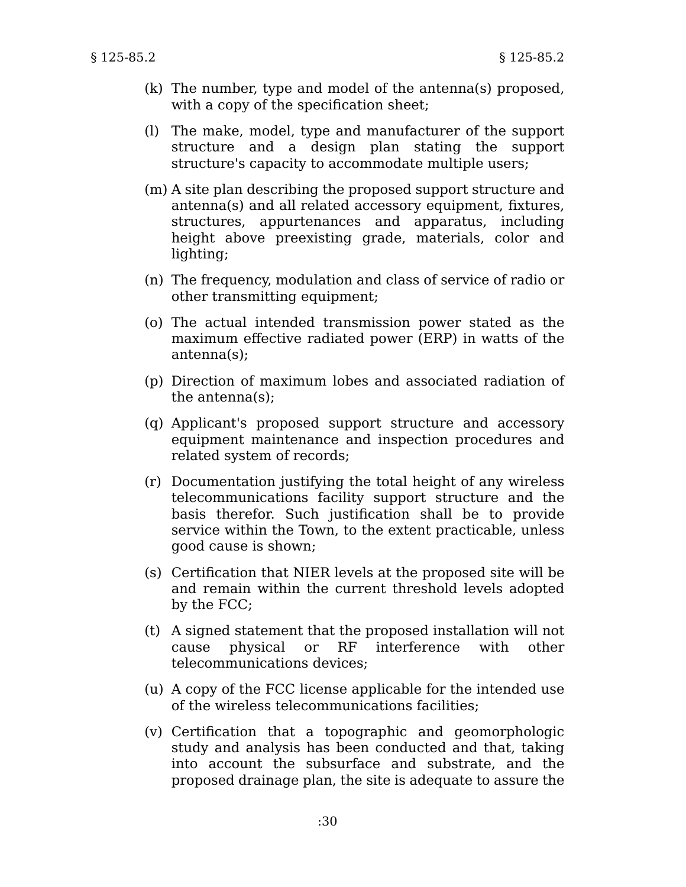- (k) The number, type and model of the antenna(s) proposed, with a copy of the specification sheet;
- (l) The make, model, type and manufacturer of the support structure and a design plan stating the support structure's capacity to accommodate multiple users;
- (m) A site plan describing the proposed support structure and antenna(s) and all related accessory equipment, fixtures, structures, appurtenances and apparatus, including height above preexisting grade, materials, color and lighting;
- (n) The frequency, modulation and class of service of radio or other transmitting equipment;
- (o) The actual intended transmission power stated as the maximum effective radiated power (ERP) in watts of the antenna(s);
- (p) Direction of maximum lobes and associated radiation of the antenna(s);
- (q) Applicant's proposed support structure and accessory equipment maintenance and inspection procedures and related system of records;
- (r) Documentation justifying the total height of any wireless telecommunications facility support structure and the basis therefor. Such justification shall be to provide service within the Town, to the extent practicable, unless good cause is shown;
- (s) Certification that NIER levels at the proposed site will be and remain within the current threshold levels adopted by the FCC;
- (t) A signed statement that the proposed installation will not cause physical or RF interference with other telecommunications devices;
- (u) A copy of the FCC license applicable for the intended use of the wireless telecommunications facilities;
- (v) Certification that a topographic and geomorphologic study and analysis has been conducted and that, taking into account the subsurface and substrate, and the proposed drainage plan, the site is adequate to assure the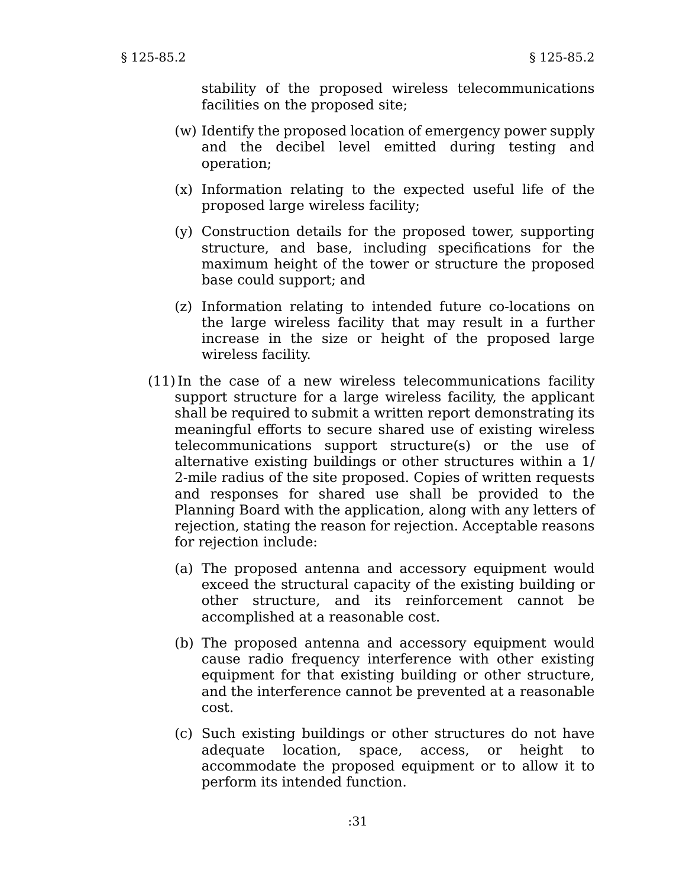stability of the proposed wireless telecommunications facilities on the proposed site;

- (w) Identify the proposed location of emergency power supply and the decibel level emitted during testing and operation;
- (x) Information relating to the expected useful life of the proposed large wireless facility;
- (y) Construction details for the proposed tower, supporting structure, and base, including specifications for the maximum height of the tower or structure the proposed base could support; and
- (z) Information relating to intended future co-locations on the large wireless facility that may result in a further increase in the size or height of the proposed large wireless facility.
- (11)In the case of a new wireless telecommunications facility support structure for a large wireless facility, the applicant shall be required to submit a written report demonstrating its meaningful efforts to secure shared use of existing wireless telecommunications support structure(s) or the use of alternative existing buildings or other structures within a 1/ 2-mile radius of the site proposed. Copies of written requests and responses for shared use shall be provided to the Planning Board with the application, along with any letters of rejection, stating the reason for rejection. Acceptable reasons for rejection include:
	- (a) The proposed antenna and accessory equipment would exceed the structural capacity of the existing building or other structure, and its reinforcement cannot be accomplished at a reasonable cost.
	- (b) The proposed antenna and accessory equipment would cause radio frequency interference with other existing equipment for that existing building or other structure, and the interference cannot be prevented at a reasonable cost.
	- (c) Such existing buildings or other structures do not have adequate location, space, access, or height to accommodate the proposed equipment or to allow it to perform its intended function.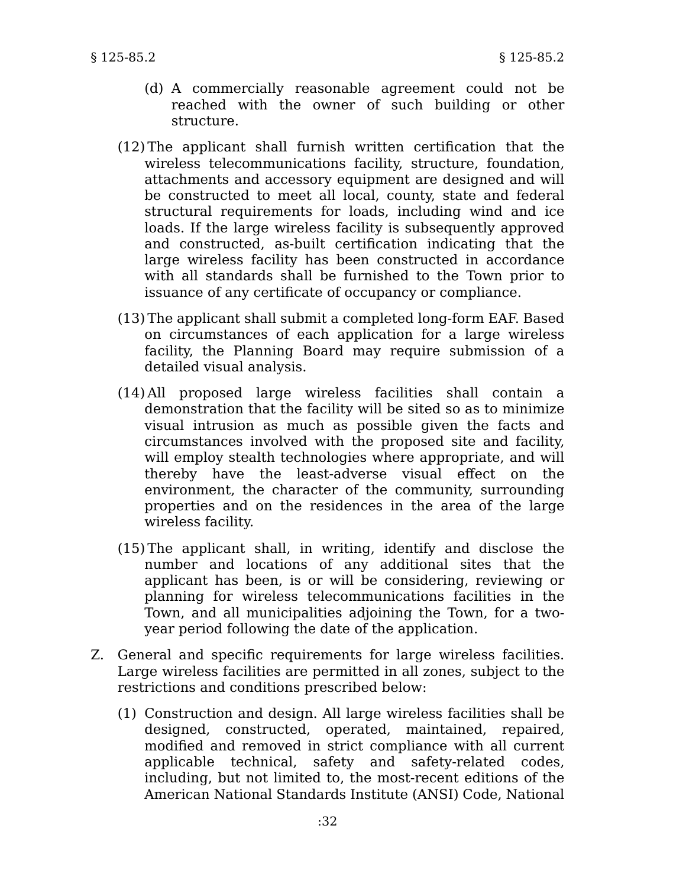- (d) A commercially reasonable agreement could not be reached with the owner of such building or other structure.
- (12) The applicant shall furnish written certification that the wireless telecommunications facility, structure, foundation, attachments and accessory equipment are designed and will be constructed to meet all local, county, state and federal structural requirements for loads, including wind and ice loads. If the large wireless facility is subsequently approved and constructed, as-built certification indicating that the large wireless facility has been constructed in accordance with all standards shall be furnished to the Town prior to issuance of any certificate of occupancy or compliance.
- (13) The applicant shall submit a completed long-form EAF. Based on circumstances of each application for a large wireless facility, the Planning Board may require submission of a detailed visual analysis.
- (14) All proposed large wireless facilities shall contain a demonstration that the facility will be sited so as to minimize visual intrusion as much as possible given the facts and circumstances involved with the proposed site and facility, will employ stealth technologies where appropriate, and will thereby have the least-adverse visual effect on the environment, the character of the community, surrounding properties and on the residences in the area of the large wireless facility.
- (15) The applicant shall, in writing, identify and disclose the number and locations of any additional sites that the applicant has been, is or will be considering, reviewing or planning for wireless telecommunications facilities in the Town, and all municipalities adjoining the Town, for a twoyear period following the date of the application.
- Z. General and specific requirements for large wireless facilities. Large wireless facilities are permitted in all zones, subject to the restrictions and conditions prescribed below:
	- (1) Construction and design. All large wireless facilities shall be designed, constructed, operated, maintained, repaired, modified and removed in strict compliance with all current applicable technical, safety and safety-related codes, including, but not limited to, the most-recent editions of the American National Standards Institute (ANSI) Code, National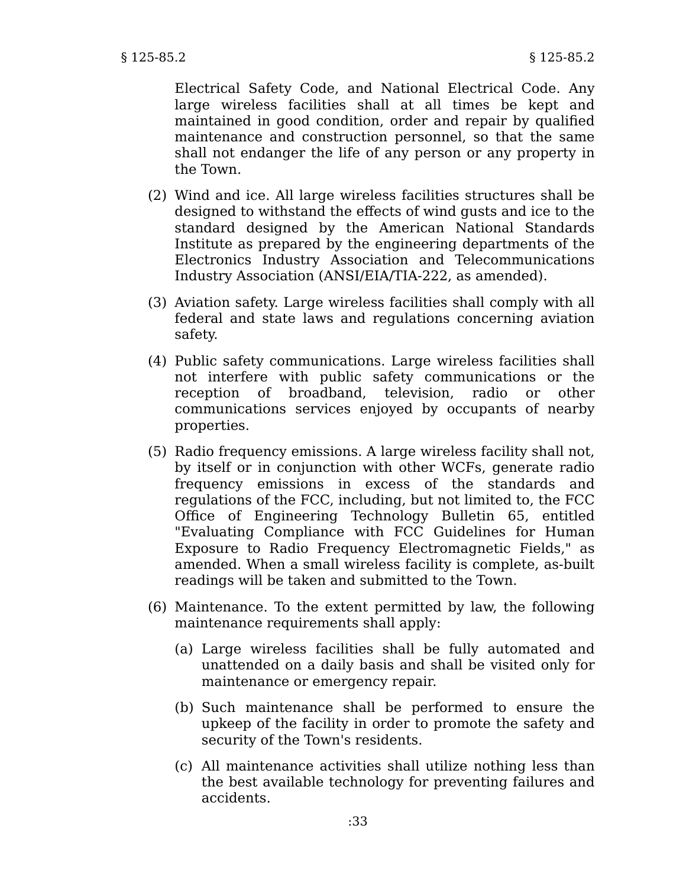Electrical Safety Code, and National Electrical Code. Any large wireless facilities shall at all times be kept and maintained in good condition, order and repair by qualified maintenance and construction personnel, so that the same shall not endanger the life of any person or any property in the Town.

- (2) Wind and ice. All large wireless facilities structures shall be designed to withstand the effects of wind gusts and ice to the standard designed by the American National Standards Institute as prepared by the engineering departments of the Electronics Industry Association and Telecommunications Industry Association (ANSI/EIA/TIA-222, as amended).
- (3) Aviation safety. Large wireless facilities shall comply with all federal and state laws and regulations concerning aviation safety.
- (4) Public safety communications. Large wireless facilities shall not interfere with public safety communications or the reception of broadband, television, radio or other communications services enjoyed by occupants of nearby properties.
- (5) Radio frequency emissions. A large wireless facility shall not, by itself or in conjunction with other WCFs, generate radio frequency emissions in excess of the standards and regulations of the FCC, including, but not limited to, the FCC Office of Engineering Technology Bulletin 65, entitled "Evaluating Compliance with FCC Guidelines for Human Exposure to Radio Frequency Electromagnetic Fields," as amended. When a small wireless facility is complete, as-built readings will be taken and submitted to the Town.
- (6) Maintenance. To the extent permitted by law, the following maintenance requirements shall apply:
	- (a) Large wireless facilities shall be fully automated and unattended on a daily basis and shall be visited only for maintenance or emergency repair.
	- (b) Such maintenance shall be performed to ensure the upkeep of the facility in order to promote the safety and security of the Town's residents.
	- (c) All maintenance activities shall utilize nothing less than the best available technology for preventing failures and accidents.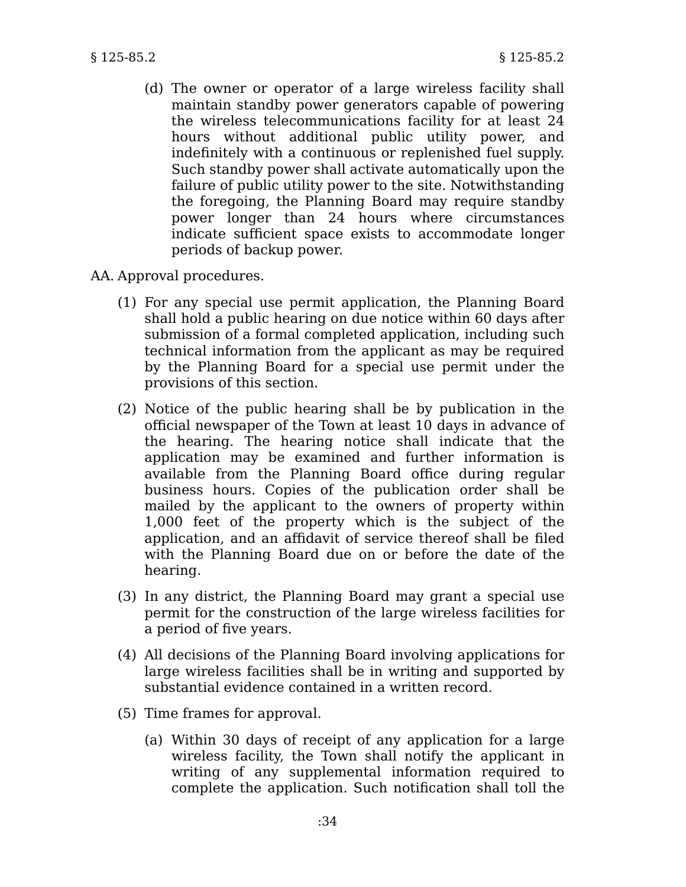- (d) The owner or operator of a large wireless facility shall maintain standby power generators capable of powering the wireless telecommunications facility for at least 24 hours without additional public utility power, and indefinitely with a continuous or replenished fuel supply. Such standby power shall activate automatically upon the failure of public utility power to the site. Notwithstanding the foregoing, the Planning Board may require standby power longer than 24 hours where circumstances indicate sufficient space exists to accommodate longer periods of backup power.
- AA. Approval procedures.
	- (1) For any special use permit application, the Planning Board shall hold a public hearing on due notice within 60 days after submission of a formal completed application, including such technical information from the applicant as may be required by the Planning Board for a special use permit under the provisions of this section.
	- (2) Notice of the public hearing shall be by publication in the official newspaper of the Town at least 10 days in advance of the hearing. The hearing notice shall indicate that the application may be examined and further information is available from the Planning Board office during regular business hours. Copies of the publication order shall be mailed by the applicant to the owners of property within 1,000 feet of the property which is the subject of the application, and an affidavit of service thereof shall be filed with the Planning Board due on or before the date of the hearing.
	- (3) In any district, the Planning Board may grant a special use permit for the construction of the large wireless facilities for a period of five years.
	- (4) All decisions of the Planning Board involving applications for large wireless facilities shall be in writing and supported by substantial evidence contained in a written record.
	- (5) Time frames for approval.
		- (a) Within 30 days of receipt of any application for a large wireless facility, the Town shall notify the applicant in writing of any supplemental information required to complete the application. Such notification shall toll the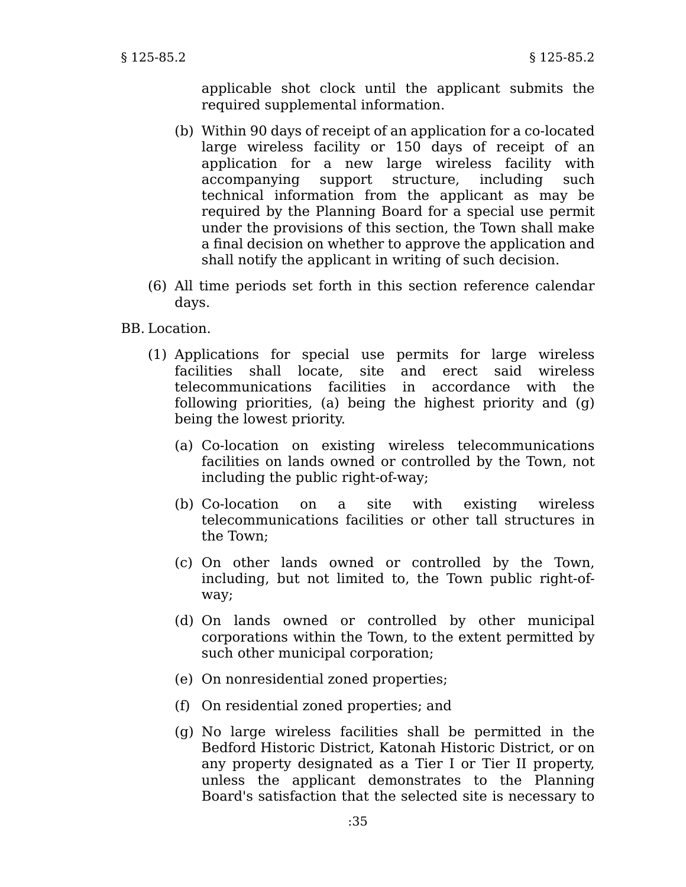applicable shot clock until the applicant submits the required supplemental information.

- (b) Within 90 days of receipt of an application for a co-located large wireless facility or 150 days of receipt of an application for a new large wireless facility with accompanying support structure, including such technical information from the applicant as may be required by the Planning Board for a special use permit under the provisions of this section, the Town shall make a final decision on whether to approve the application and shall notify the applicant in writing of such decision.
- (6) All time periods set forth in this section reference calendar days.

BB. Location.

- (1) Applications for special use permits for large wireless facilities shall locate, site and erect said wireless telecommunications facilities in accordance with the following priorities, (a) being the highest priority and (g) being the lowest priority.
	- (a) Co-location on existing wireless telecommunications facilities on lands owned or controlled by the Town, not including the public right-of-way;
	- (b) Co-location on a site with existing wireless telecommunications facilities or other tall structures in the Town;
	- (c) On other lands owned or controlled by the Town, including, but not limited to, the Town public right-ofway;
	- (d) On lands owned or controlled by other municipal corporations within the Town, to the extent permitted by such other municipal corporation;
	- (e) On nonresidential zoned properties;
	- (f) On residential zoned properties; and
	- (g) No large wireless facilities shall be permitted in the Bedford Historic District, Katonah Historic District, or on any property designated as a Tier I or Tier II property, unless the applicant demonstrates to the Planning Board's satisfaction that the selected site is necessary to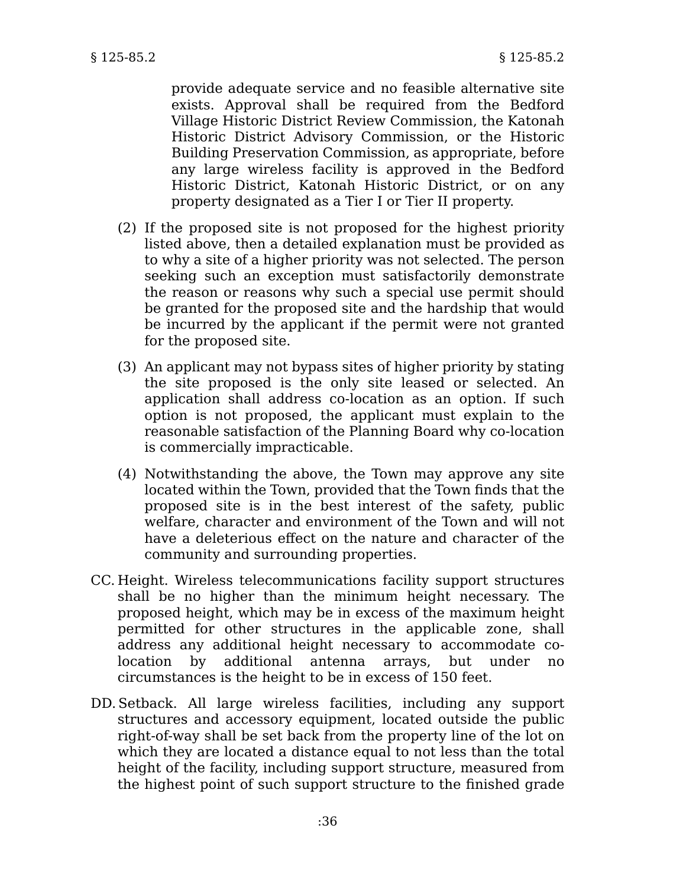provide adequate service and no feasible alternative site exists. Approval shall be required from the Bedford Village Historic District Review Commission, the Katonah Historic District Advisory Commission, or the Historic Building Preservation Commission, as appropriate, before any large wireless facility is approved in the Bedford Historic District, Katonah Historic District, or on any property designated as a Tier I or Tier II property.

- (2) If the proposed site is not proposed for the highest priority listed above, then a detailed explanation must be provided as to why a site of a higher priority was not selected. The person seeking such an exception must satisfactorily demonstrate the reason or reasons why such a special use permit should be granted for the proposed site and the hardship that would be incurred by the applicant if the permit were not granted for the proposed site.
- (3) An applicant may not bypass sites of higher priority by stating the site proposed is the only site leased or selected. An application shall address co-location as an option. If such option is not proposed, the applicant must explain to the reasonable satisfaction of the Planning Board why co-location is commercially impracticable.
- (4) Notwithstanding the above, the Town may approve any site located within the Town, provided that the Town finds that the proposed site is in the best interest of the safety, public welfare, character and environment of the Town and will not have a deleterious effect on the nature and character of the community and surrounding properties.
- CC. Height. Wireless telecommunications facility support structures shall be no higher than the minimum height necessary. The proposed height, which may be in excess of the maximum height permitted for other structures in the applicable zone, shall address any additional height necessary to accommodate colocation by additional antenna arrays, but under no circumstances is the height to be in excess of 150 feet.
- DD.Setback. All large wireless facilities, including any support structures and accessory equipment, located outside the public right-of-way shall be set back from the property line of the lot on which they are located a distance equal to not less than the total height of the facility, including support structure, measured from the highest point of such support structure to the finished grade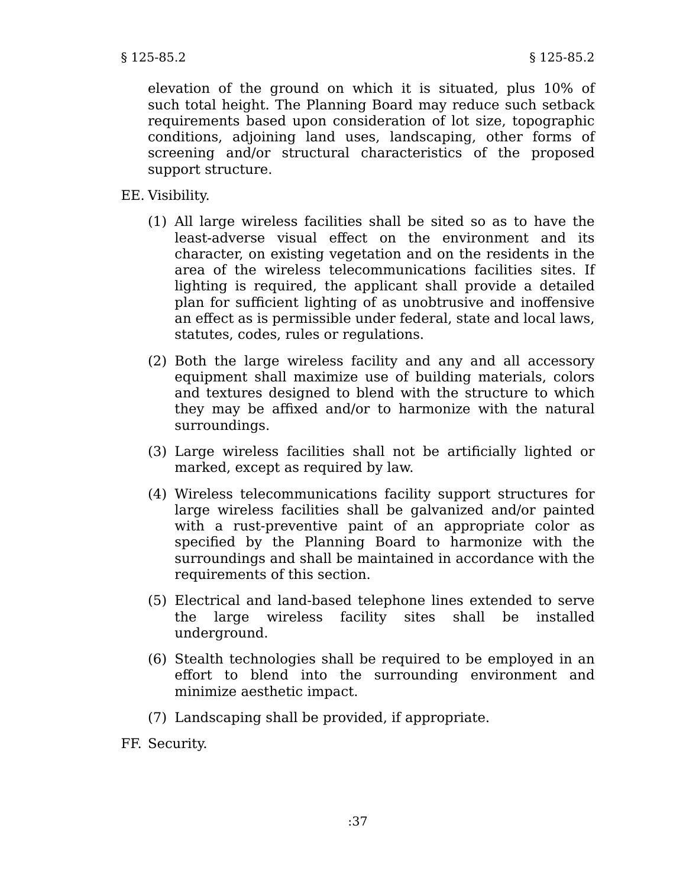elevation of the ground on which it is situated, plus 10% of such total height. The Planning Board may reduce such setback requirements based upon consideration of lot size, topographic conditions, adjoining land uses, landscaping, other forms of screening and/or structural characteristics of the proposed support structure.

- EE. Visibility.
	- (1) All large wireless facilities shall be sited so as to have the least-adverse visual effect on the environment and its character, on existing vegetation and on the residents in the area of the wireless telecommunications facilities sites. If lighting is required, the applicant shall provide a detailed plan for sufficient lighting of as unobtrusive and inoffensive an effect as is permissible under federal, state and local laws, statutes, codes, rules or regulations.
	- (2) Both the large wireless facility and any and all accessory equipment shall maximize use of building materials, colors and textures designed to blend with the structure to which they may be affixed and/or to harmonize with the natural surroundings.
	- (3) Large wireless facilities shall not be artificially lighted or marked, except as required by law.
	- (4) Wireless telecommunications facility support structures for large wireless facilities shall be galvanized and/or painted with a rust-preventive paint of an appropriate color as specified by the Planning Board to harmonize with the surroundings and shall be maintained in accordance with the requirements of this section.
	- (5) Electrical and land-based telephone lines extended to serve the large wireless facility sites shall be installed underground.
	- (6) Stealth technologies shall be required to be employed in an effort to blend into the surrounding environment and minimize aesthetic impact.
	- (7) Landscaping shall be provided, if appropriate.
- FF. Security.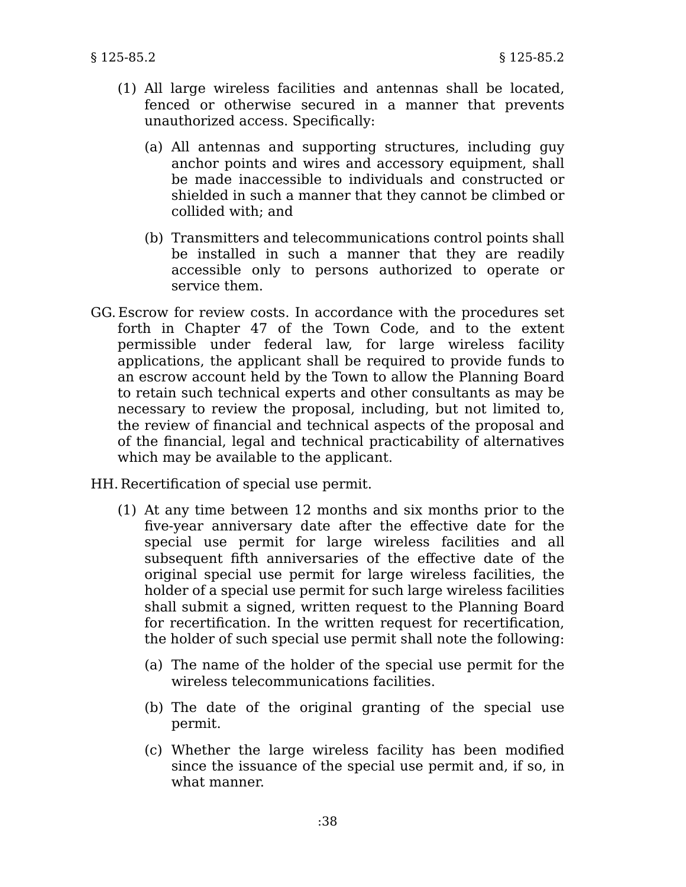- (1) All large wireless facilities and antennas shall be located, fenced or otherwise secured in a manner that prevents unauthorized access. Specifically:
	- (a) All antennas and supporting structures, including guy anchor points and wires and accessory equipment, shall be made inaccessible to individuals and constructed or shielded in such a manner that they cannot be climbed or collided with; and
	- (b) Transmitters and telecommunications control points shall be installed in such a manner that they are readily accessible only to persons authorized to operate or service them.
- GG. Escrow for review costs. In accordance with the procedures set forth in Chapter 47 of the Town Code, and to the extent permissible under federal law, for large wireless facility applications, the applicant shall be required to provide funds to an escrow account held by the Town to allow the Planning Board to retain such technical experts and other consultants as may be necessary to review the proposal, including, but not limited to, the review of financial and technical aspects of the proposal and of the financial, legal and technical practicability of alternatives which may be available to the applicant.

HH. Recertification of special use permit.

- (1) At any time between 12 months and six months prior to the five-year anniversary date after the effective date for the special use permit for large wireless facilities and all subsequent fifth anniversaries of the effective date of the original special use permit for large wireless facilities, the holder of a special use permit for such large wireless facilities shall submit a signed, written request to the Planning Board for recertification. In the written request for recertification, the holder of such special use permit shall note the following:
	- (a) The name of the holder of the special use permit for the wireless telecommunications facilities.
	- (b) The date of the original granting of the special use permit.
	- (c) Whether the large wireless facility has been modified since the issuance of the special use permit and, if so, in what manner.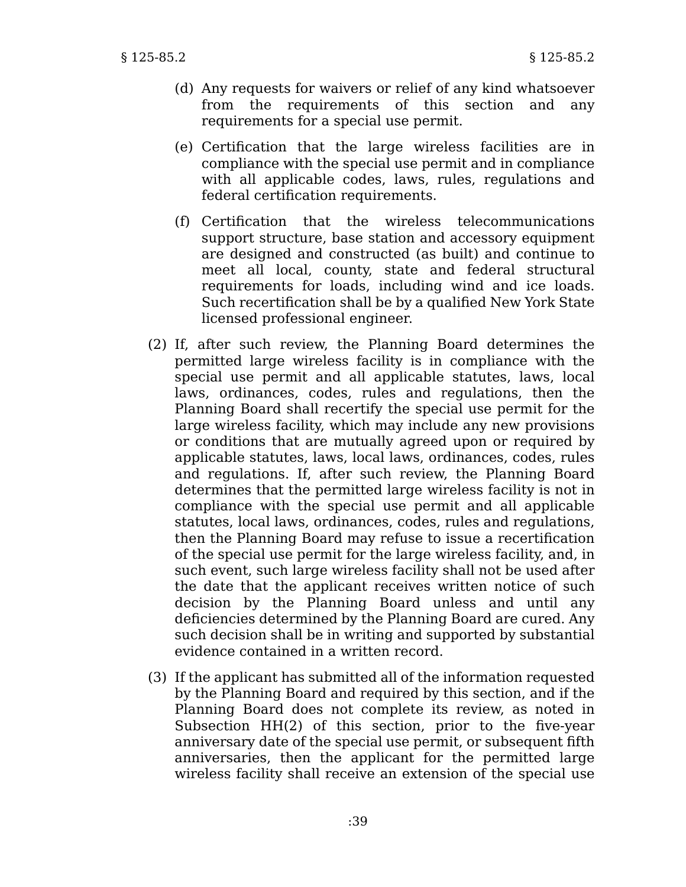- (d) Any requests for waivers or relief of any kind whatsoever from the requirements of this section and any requirements for a special use permit.
- (e) Certification that the large wireless facilities are in compliance with the special use permit and in compliance with all applicable codes, laws, rules, regulations and federal certification requirements.
- (f) Certification that the wireless telecommunications support structure, base station and accessory equipment are designed and constructed (as built) and continue to meet all local, county, state and federal structural requirements for loads, including wind and ice loads. Such recertification shall be by a qualified New York State licensed professional engineer.
- (2) If, after such review, the Planning Board determines the permitted large wireless facility is in compliance with the special use permit and all applicable statutes, laws, local laws, ordinances, codes, rules and regulations, then the Planning Board shall recertify the special use permit for the large wireless facility, which may include any new provisions or conditions that are mutually agreed upon or required by applicable statutes, laws, local laws, ordinances, codes, rules and regulations. If, after such review, the Planning Board determines that the permitted large wireless facility is not in compliance with the special use permit and all applicable statutes, local laws, ordinances, codes, rules and regulations, then the Planning Board may refuse to issue a recertification of the special use permit for the large wireless facility, and, in such event, such large wireless facility shall not be used after the date that the applicant receives written notice of such decision by the Planning Board unless and until any deficiencies determined by the Planning Board are cured. Any such decision shall be in writing and supported by substantial evidence contained in a written record.
- (3) If the applicant has submitted all of the information requested by the Planning Board and required by this section, and if the Planning Board does not complete its review, as noted in Subsection HH(2) of this section, prior to the five-year anniversary date of the special use permit, or subsequent fifth anniversaries, then the applicant for the permitted large wireless facility shall receive an extension of the special use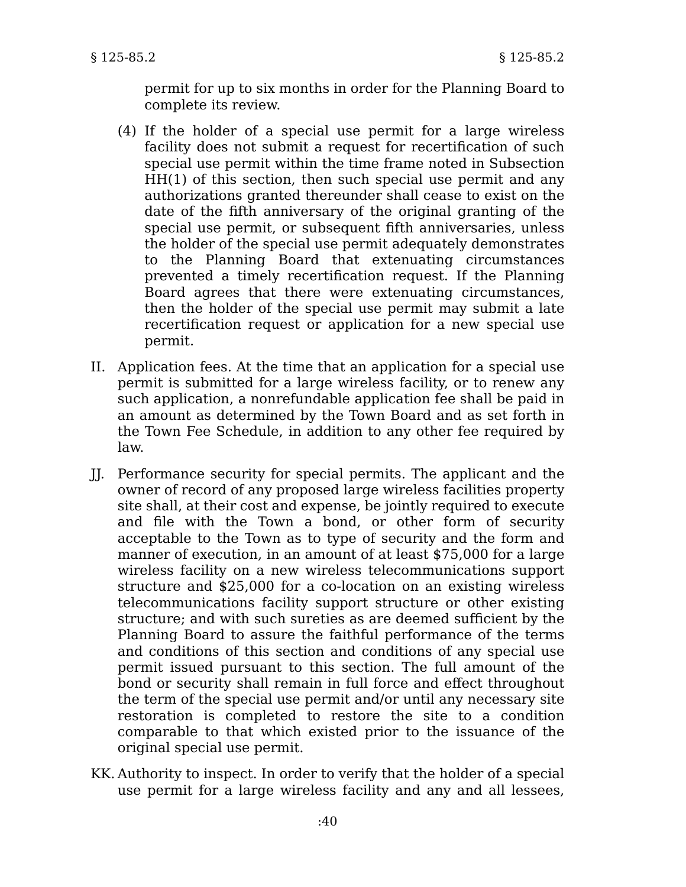permit for up to six months in order for the Planning Board to complete its review.

- (4) If the holder of a special use permit for a large wireless facility does not submit a request for recertification of such special use permit within the time frame noted in Subsection HH(1) of this section, then such special use permit and any authorizations granted thereunder shall cease to exist on the date of the fifth anniversary of the original granting of the special use permit, or subsequent fifth anniversaries, unless the holder of the special use permit adequately demonstrates to the Planning Board that extenuating circumstances prevented a timely recertification request. If the Planning Board agrees that there were extenuating circumstances, then the holder of the special use permit may submit a late recertification request or application for a new special use permit.
- II. Application fees. At the time that an application for a special use permit is submitted for a large wireless facility, or to renew any such application, a nonrefundable application fee shall be paid in an amount as determined by the Town Board and as set forth in the Town Fee Schedule, in addition to any other fee required by law.
- JJ. Performance security for special permits. The applicant and the owner of record of any proposed large wireless facilities property site shall, at their cost and expense, be jointly required to execute and file with the Town a bond, or other form of security acceptable to the Town as to type of security and the form and manner of execution, in an amount of at least \$75,000 for a large wireless facility on a new wireless telecommunications support structure and \$25,000 for a co-location on an existing wireless telecommunications facility support structure or other existing structure; and with such sureties as are deemed sufficient by the Planning Board to assure the faithful performance of the terms and conditions of this section and conditions of any special use permit issued pursuant to this section. The full amount of the bond or security shall remain in full force and effect throughout the term of the special use permit and/or until any necessary site restoration is completed to restore the site to a condition comparable to that which existed prior to the issuance of the original special use permit.
- KK. Authority to inspect. In order to verify that the holder of a special use permit for a large wireless facility and any and all lessees,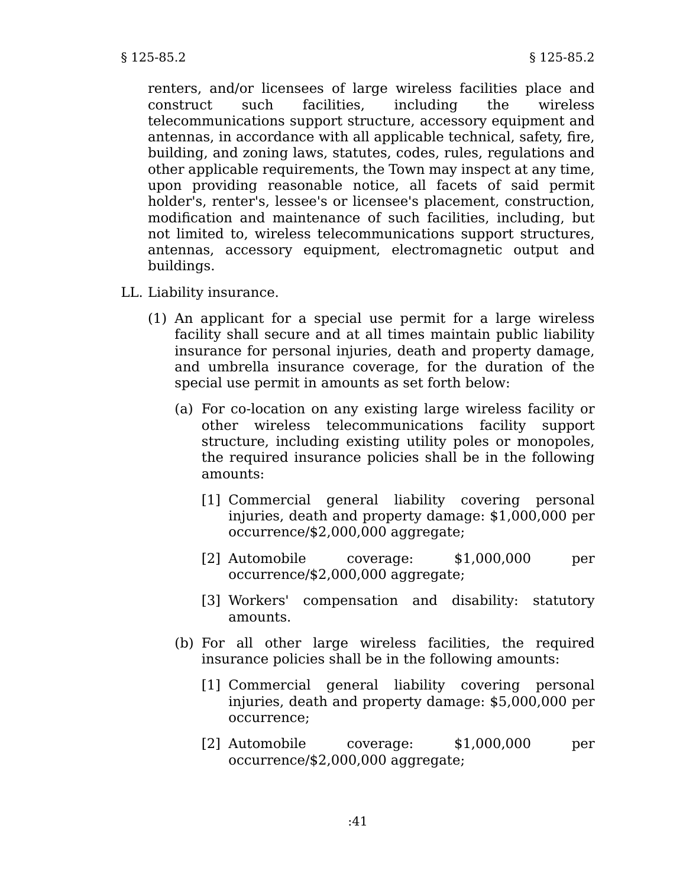renters, and/or licensees of large wireless facilities place and construct such facilities, including the wireless telecommunications support structure, accessory equipment and antennas, in accordance with all applicable technical, safety, fire, building, and zoning laws, statutes, codes, rules, regulations and other applicable requirements, the Town may inspect at any time, upon providing reasonable notice, all facets of said permit holder's, renter's, lessee's or licensee's placement, construction, modification and maintenance of such facilities, including, but not limited to, wireless telecommunications support structures, antennas, accessory equipment, electromagnetic output and buildings.

- LL. Liability insurance.
	- (1) An applicant for a special use permit for a large wireless facility shall secure and at all times maintain public liability insurance for personal injuries, death and property damage, and umbrella insurance coverage, for the duration of the special use permit in amounts as set forth below:
		- (a) For co-location on any existing large wireless facility or other wireless telecommunications facility support structure, including existing utility poles or monopoles, the required insurance policies shall be in the following amounts:
			- [1] Commercial general liability covering personal injuries, death and property damage: \$1,000,000 per occurrence/\$2,000,000 aggregate;
			- [2] Automobile coverage: \$1,000,000 per occurrence/\$2,000,000 aggregate;
			- [3] Workers' compensation and disability: statutory amounts.
		- (b) For all other large wireless facilities, the required insurance policies shall be in the following amounts:
			- [1] Commercial general liability covering personal injuries, death and property damage: \$5,000,000 per occurrence;
			- [2] Automobile coverage: \$1,000,000 per occurrence/\$2,000,000 aggregate;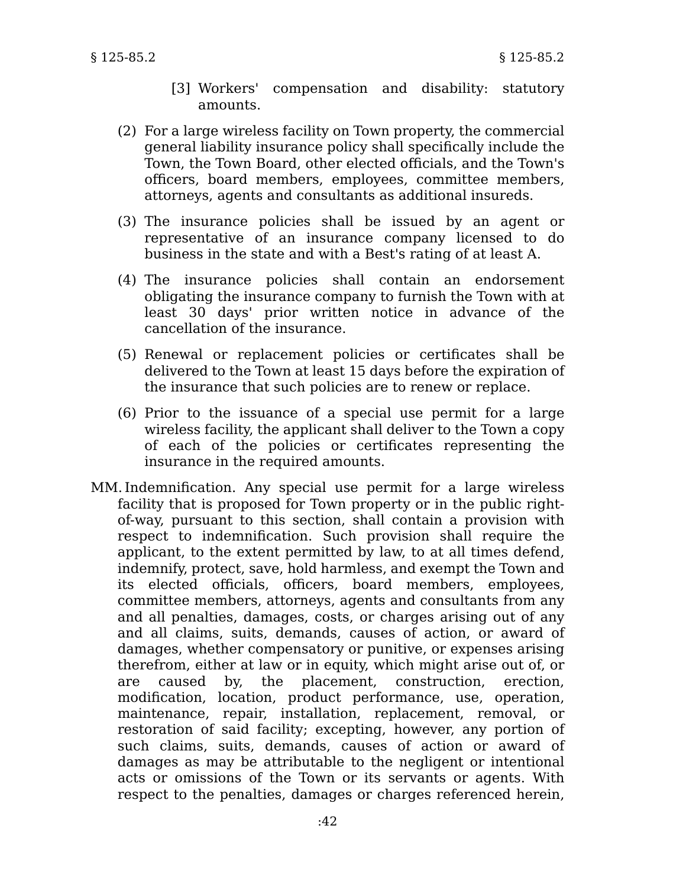- [3] Workers' compensation and disability: statutory amounts.
- (2) For a large wireless facility on Town property, the commercial general liability insurance policy shall specifically include the Town, the Town Board, other elected officials, and the Town's officers, board members, employees, committee members, attorneys, agents and consultants as additional insureds.
- (3) The insurance policies shall be issued by an agent or representative of an insurance company licensed to do business in the state and with a Best's rating of at least A.
- (4) The insurance policies shall contain an endorsement obligating the insurance company to furnish the Town with at least 30 days' prior written notice in advance of the cancellation of the insurance.
- (5) Renewal or replacement policies or certificates shall be delivered to the Town at least 15 days before the expiration of the insurance that such policies are to renew or replace.
- (6) Prior to the issuance of a special use permit for a large wireless facility, the applicant shall deliver to the Town a copy of each of the policies or certificates representing the insurance in the required amounts.
- MM.Indemnification. Any special use permit for a large wireless facility that is proposed for Town property or in the public rightof-way, pursuant to this section, shall contain a provision with respect to indemnification. Such provision shall require the applicant, to the extent permitted by law, to at all times defend, indemnify, protect, save, hold harmless, and exempt the Town and its elected officials, officers, board members, employees, committee members, attorneys, agents and consultants from any and all penalties, damages, costs, or charges arising out of any and all claims, suits, demands, causes of action, or award of damages, whether compensatory or punitive, or expenses arising therefrom, either at law or in equity, which might arise out of, or are caused by, the placement, construction, erection, modification, location, product performance, use, operation, maintenance, repair, installation, replacement, removal, or restoration of said facility; excepting, however, any portion of such claims, suits, demands, causes of action or award of damages as may be attributable to the negligent or intentional acts or omissions of the Town or its servants or agents. With respect to the penalties, damages or charges referenced herein,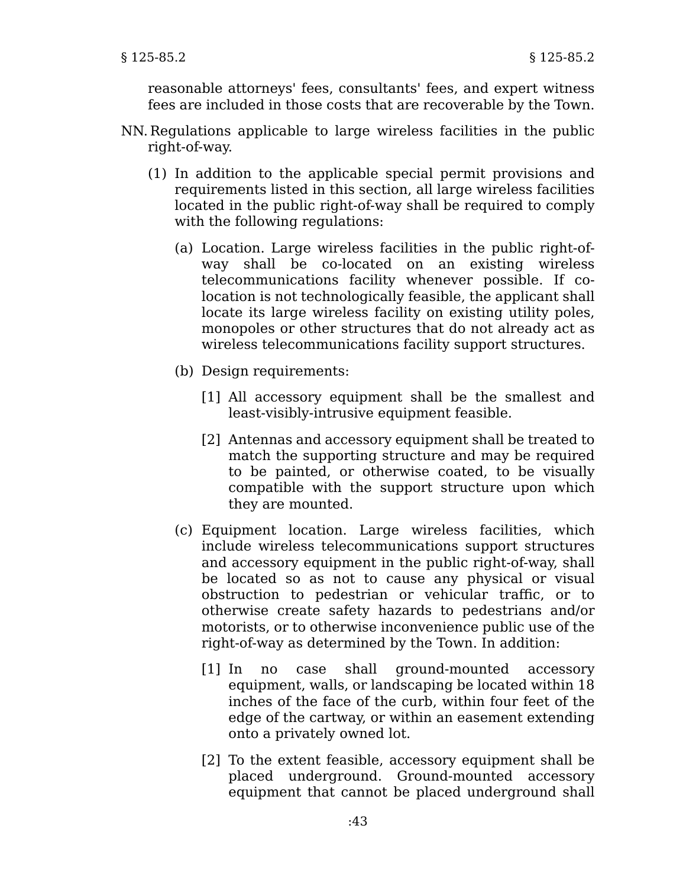reasonable attorneys' fees, consultants' fees, and expert witness fees are included in those costs that are recoverable by the Town.

- NN. Regulations applicable to large wireless facilities in the public right-of-way.
	- (1) In addition to the applicable special permit provisions and requirements listed in this section, all large wireless facilities located in the public right-of-way shall be required to comply with the following regulations:
		- (a) Location. Large wireless facilities in the public right-ofway shall be co-located on an existing wireless telecommunications facility whenever possible. If colocation is not technologically feasible, the applicant shall locate its large wireless facility on existing utility poles, monopoles or other structures that do not already act as wireless telecommunications facility support structures.
		- (b) Design requirements:
			- [1] All accessory equipment shall be the smallest and least-visibly-intrusive equipment feasible.
			- [2] Antennas and accessory equipment shall be treated to match the supporting structure and may be required to be painted, or otherwise coated, to be visually compatible with the support structure upon which they are mounted.
		- (c) Equipment location. Large wireless facilities, which include wireless telecommunications support structures and accessory equipment in the public right-of-way, shall be located so as not to cause any physical or visual obstruction to pedestrian or vehicular traffic, or to otherwise create safety hazards to pedestrians and/or motorists, or to otherwise inconvenience public use of the right-of-way as determined by the Town. In addition:
			- [1] In no case shall ground-mounted accessory equipment, walls, or landscaping be located within 18 inches of the face of the curb, within four feet of the edge of the cartway, or within an easement extending onto a privately owned lot.
			- [2] To the extent feasible, accessory equipment shall be placed underground. Ground-mounted accessory equipment that cannot be placed underground shall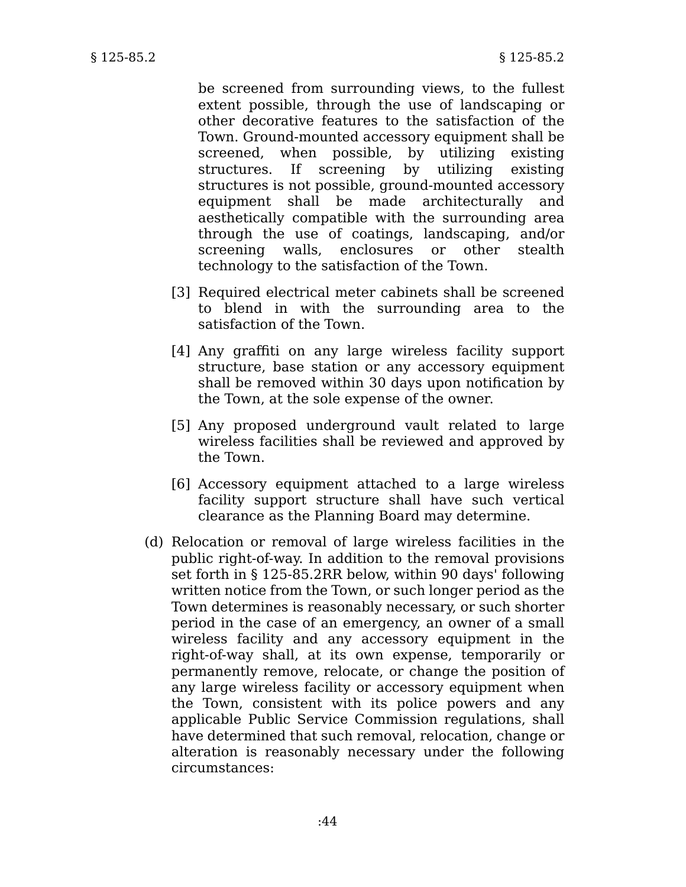be screened from surrounding views, to the fullest extent possible, through the use of landscaping or other decorative features to the satisfaction of the Town. Ground-mounted accessory equipment shall be screened, when possible, by utilizing existing structures. If screening by utilizing existing structures is not possible, ground-mounted accessory equipment shall be made architecturally and aesthetically compatible with the surrounding area through the use of coatings, landscaping, and/or screening walls, enclosures or other stealth technology to the satisfaction of the Town.

- [3] Required electrical meter cabinets shall be screened to blend in with the surrounding area to the satisfaction of the Town.
- [4] Any graffiti on any large wireless facility support structure, base station or any accessory equipment shall be removed within 30 days upon notification by the Town, at the sole expense of the owner.
- [5] Any proposed underground vault related to large wireless facilities shall be reviewed and approved by the Town.
- [6] Accessory equipment attached to a large wireless facility support structure shall have such vertical clearance as the Planning Board may determine.
- (d) Relocation or removal of large wireless facilities in the public right-of-way. In addition to the removal provisions set forth in § 125-85.2RR below, within 90 days' following written notice from the Town, or such longer period as the Town determines is reasonably necessary, or such shorter period in the case of an emergency, an owner of a small wireless facility and any accessory equipment in the right-of-way shall, at its own expense, temporarily or permanently remove, relocate, or change the position of any large wireless facility or accessory equipment when the Town, consistent with its police powers and any applicable Public Service Commission regulations, shall have determined that such removal, relocation, change or alteration is reasonably necessary under the following circumstances: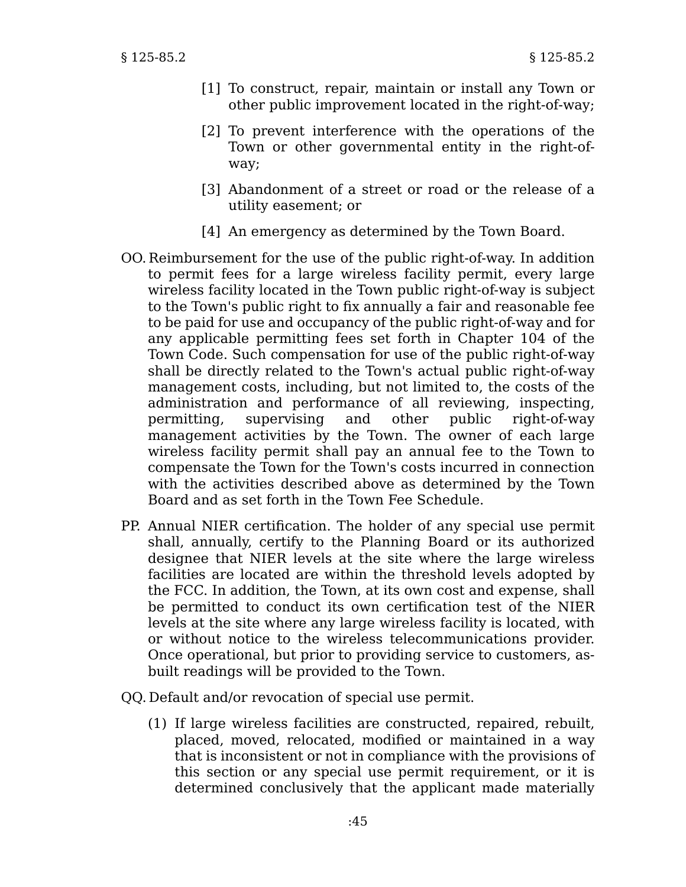- [1] To construct, repair, maintain or install any Town or other public improvement located in the right-of-way;
- [2] To prevent interference with the operations of the Town or other governmental entity in the right-ofway;
- [3] Abandonment of a street or road or the release of a utility easement; or
- [4] An emergency as determined by the Town Board.
- OO. Reimbursement for the use of the public right-of-way. In addition to permit fees for a large wireless facility permit, every large wireless facility located in the Town public right-of-way is subject to the Town's public right to fix annually a fair and reasonable fee to be paid for use and occupancy of the public right-of-way and for any applicable permitting fees set forth in Chapter 104 of the Town Code. Such compensation for use of the public right-of-way shall be directly related to the Town's actual public right-of-way management costs, including, but not limited to, the costs of the administration and performance of all reviewing, inspecting, permitting, supervising and other public right-of-way management activities by the Town. The owner of each large wireless facility permit shall pay an annual fee to the Town to compensate the Town for the Town's costs incurred in connection with the activities described above as determined by the Town Board and as set forth in the Town Fee Schedule.
- PP. Annual NIER certification. The holder of any special use permit shall, annually, certify to the Planning Board or its authorized designee that NIER levels at the site where the large wireless facilities are located are within the threshold levels adopted by the FCC. In addition, the Town, at its own cost and expense, shall be permitted to conduct its own certification test of the NIER levels at the site where any large wireless facility is located, with or without notice to the wireless telecommunications provider. Once operational, but prior to providing service to customers, asbuilt readings will be provided to the Town.
- QQ. Default and/or revocation of special use permit.
	- (1) If large wireless facilities are constructed, repaired, rebuilt, placed, moved, relocated, modified or maintained in a way that is inconsistent or not in compliance with the provisions of this section or any special use permit requirement, or it is determined conclusively that the applicant made materially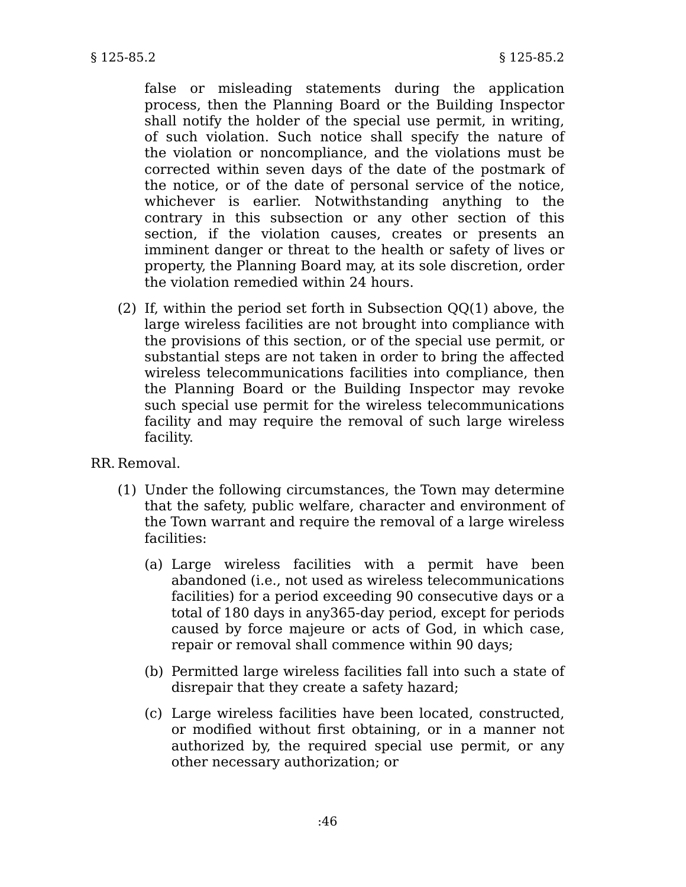false or misleading statements during the application process, then the Planning Board or the Building Inspector shall notify the holder of the special use permit, in writing, of such violation. Such notice shall specify the nature of the violation or noncompliance, and the violations must be corrected within seven days of the date of the postmark of the notice, or of the date of personal service of the notice, whichever is earlier. Notwithstanding anything to the contrary in this subsection or any other section of this section, if the violation causes, creates or presents an imminent danger or threat to the health or safety of lives or property, the Planning Board may, at its sole discretion, order the violation remedied within 24 hours.

(2) If, within the period set forth in Subsection QQ(1) above, the large wireless facilities are not brought into compliance with the provisions of this section, or of the special use permit, or substantial steps are not taken in order to bring the affected wireless telecommunications facilities into compliance, then the Planning Board or the Building Inspector may revoke such special use permit for the wireless telecommunications facility and may require the removal of such large wireless facility.

RR. Removal.

- (1) Under the following circumstances, the Town may determine that the safety, public welfare, character and environment of the Town warrant and require the removal of a large wireless facilities:
	- (a) Large wireless facilities with a permit have been abandoned (i.e., not used as wireless telecommunications facilities) for a period exceeding 90 consecutive days or a total of 180 days in any365-day period, except for periods caused by force majeure or acts of God, in which case, repair or removal shall commence within 90 days;
	- (b) Permitted large wireless facilities fall into such a state of disrepair that they create a safety hazard;
	- (c) Large wireless facilities have been located, constructed, or modified without first obtaining, or in a manner not authorized by, the required special use permit, or any other necessary authorization; or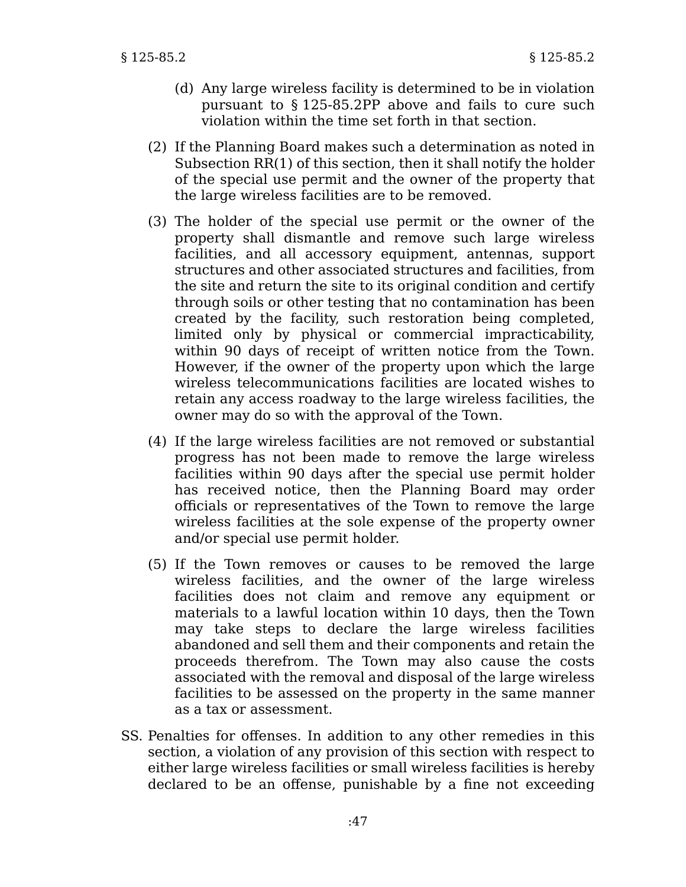- (d) Any large wireless facility is determined to be in violation pursuant to § 125-85.2PP above and fails to cure such violation within the time set forth in that section.
- (2) If the Planning Board makes such a determination as noted in Subsection RR(1) of this section, then it shall notify the holder of the special use permit and the owner of the property that the large wireless facilities are to be removed.
- (3) The holder of the special use permit or the owner of the property shall dismantle and remove such large wireless facilities, and all accessory equipment, antennas, support structures and other associated structures and facilities, from the site and return the site to its original condition and certify through soils or other testing that no contamination has been created by the facility, such restoration being completed, limited only by physical or commercial impracticability, within 90 days of receipt of written notice from the Town. However, if the owner of the property upon which the large wireless telecommunications facilities are located wishes to retain any access roadway to the large wireless facilities, the owner may do so with the approval of the Town.
- (4) If the large wireless facilities are not removed or substantial progress has not been made to remove the large wireless facilities within 90 days after the special use permit holder has received notice, then the Planning Board may order officials or representatives of the Town to remove the large wireless facilities at the sole expense of the property owner and/or special use permit holder.
- (5) If the Town removes or causes to be removed the large wireless facilities, and the owner of the large wireless facilities does not claim and remove any equipment or materials to a lawful location within 10 days, then the Town may take steps to declare the large wireless facilities abandoned and sell them and their components and retain the proceeds therefrom. The Town may also cause the costs associated with the removal and disposal of the large wireless facilities to be assessed on the property in the same manner as a tax or assessment.
- SS. Penalties for offenses. In addition to any other remedies in this section, a violation of any provision of this section with respect to either large wireless facilities or small wireless facilities is hereby declared to be an offense, punishable by a fine not exceeding